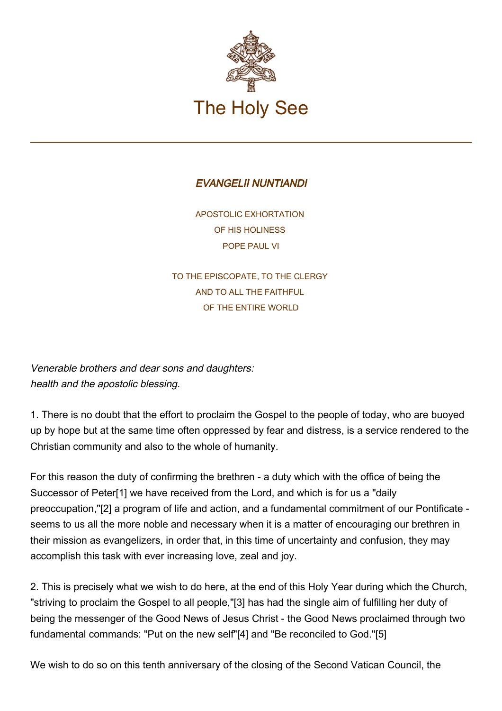

## EVANGELII NUNTIANDI

APOSTOLIC EXHORTATION OF HIS HOLINESS POPE PAUL VI

TO THE EPISCOPATE, TO THE CLERGY AND TO ALL THE FAITHFUL OF THE ENTIRE WORLD

Venerable brothers and dear sons and daughters: health and the apostolic blessing.

1. There is no doubt that the effort to proclaim the Gospel to the people of today, who are buoyed up by hope but at the same time often oppressed by fear and distress, is a service rendered to the Christian community and also to the whole of humanity.

For this reason the duty of confirming the brethren - a duty which with the office of being the Successor of Peter[1] we have received from the Lord, and which is for us a "daily preoccupation,"[2] a program of life and action, and a fundamental commitment of our Pontificate seems to us all the more noble and necessary when it is a matter of encouraging our brethren in their mission as evangelizers, in order that, in this time of uncertainty and confusion, they may accomplish this task with ever increasing love, zeal and joy.

2. This is precisely what we wish to do here, at the end of this Holy Year during which the Church, "striving to proclaim the Gospel to all people,"[3] has had the single aim of fulfilling her duty of being the messenger of the Good News of Jesus Christ - the Good News proclaimed through two fundamental commands: "Put on the new self"[4] and "Be reconciled to God."[5]

We wish to do so on this tenth anniversary of the closing of the Second Vatican Council, the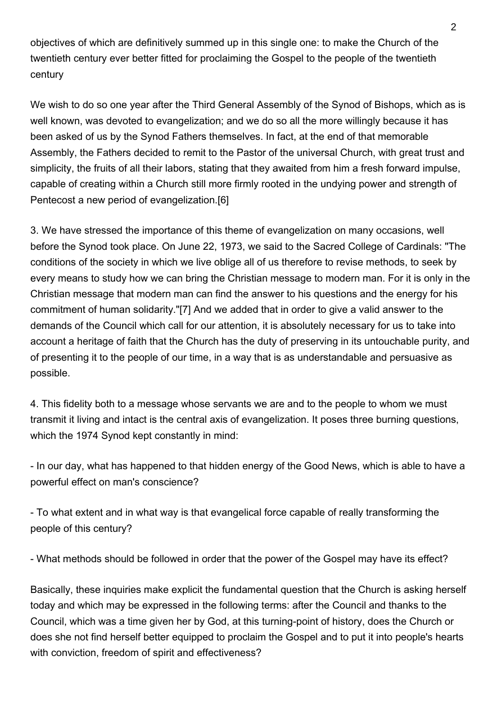objectives of which are definitively summed up in this single one: to make the Church of the twentieth century ever better fitted for proclaiming the Gospel to the people of the twentieth century

We wish to do so one year after the Third General Assembly of the Synod of Bishops, which as is well known, was devoted to evangelization; and we do so all the more willingly because it has been asked of us by the Synod Fathers themselves. In fact, at the end of that memorable Assembly, the Fathers decided to remit to the Pastor of the universal Church, with great trust and simplicity, the fruits of all their labors, stating that they awaited from him a fresh forward impulse, capable of creating within a Church still more firmly rooted in the undying power and strength of Pentecost a new period of evangelization.[6]

3. We have stressed the importance of this theme of evangelization on many occasions, well before the Synod took place. On June 22, 1973, we said to the Sacred College of Cardinals: "The conditions of the society in which we live oblige all of us therefore to revise methods, to seek by every means to study how we can bring the Christian message to modern man. For it is only in the Christian message that modern man can find the answer to his questions and the energy for his commitment of human solidarity."[7] And we added that in order to give a valid answer to the demands of the Council which call for our attention, it is absolutely necessary for us to take into account a heritage of faith that the Church has the duty of preserving in its untouchable purity, and of presenting it to the people of our time, in a way that is as understandable and persuasive as possible.

4. This fidelity both to a message whose servants we are and to the people to whom we must transmit it living and intact is the central axis of evangelization. It poses three burning questions, which the 1974 Synod kept constantly in mind:

- In our day, what has happened to that hidden energy of the Good News, which is able to have a powerful effect on man's conscience?

- To what extent and in what way is that evangelical force capable of really transforming the people of this century?

- What methods should be followed in order that the power of the Gospel may have its effect?

Basically, these inquiries make explicit the fundamental question that the Church is asking herself today and which may be expressed in the following terms: after the Council and thanks to the Council, which was a time given her by God, at this turning-point of history, does the Church or does she not find herself better equipped to proclaim the Gospel and to put it into people's hearts with conviction, freedom of spirit and effectiveness?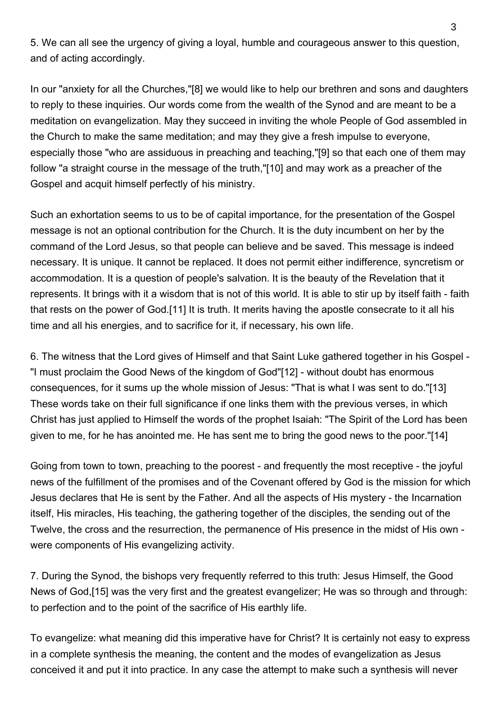5. We can all see the urgency of giving a loyal, humble and courageous answer to this question, and of acting accordingly.

In our "anxiety for all the Churches,"[8] we would like to help our brethren and sons and daughters to reply to these inquiries. Our words come from the wealth of the Synod and are meant to be a meditation on evangelization. May they succeed in inviting the whole People of God assembled in the Church to make the same meditation; and may they give a fresh impulse to everyone, especially those "who are assiduous in preaching and teaching,"[9] so that each one of them may follow "a straight course in the message of the truth,"[10] and may work as a preacher of the Gospel and acquit himself perfectly of his ministry.

Such an exhortation seems to us to be of capital importance, for the presentation of the Gospel message is not an optional contribution for the Church. It is the duty incumbent on her by the command of the Lord Jesus, so that people can believe and be saved. This message is indeed necessary. It is unique. It cannot be replaced. It does not permit either indifference, syncretism or accommodation. It is a question of people's salvation. It is the beauty of the Revelation that it represents. It brings with it a wisdom that is not of this world. It is able to stir up by itself faith - faith that rests on the power of God.[11] It is truth. It merits having the apostle consecrate to it all his time and all his energies, and to sacrifice for it, if necessary, his own life.

6. The witness that the Lord gives of Himself and that Saint Luke gathered together in his Gospel - "I must proclaim the Good News of the kingdom of God"[12] - without doubt has enormous consequences, for it sums up the whole mission of Jesus: "That is what I was sent to do."[13] These words take on their full significance if one links them with the previous verses, in which Christ has just applied to Himself the words of the prophet Isaiah: "The Spirit of the Lord has been given to me, for he has anointed me. He has sent me to bring the good news to the poor."[14]

Going from town to town, preaching to the poorest - and frequently the most receptive - the joyful news of the fulfillment of the promises and of the Covenant offered by God is the mission for which Jesus declares that He is sent by the Father. And all the aspects of His mystery - the Incarnation itself, His miracles, His teaching, the gathering together of the disciples, the sending out of the Twelve, the cross and the resurrection, the permanence of His presence in the midst of His own were components of His evangelizing activity.

7. During the Synod, the bishops very frequently referred to this truth: Jesus Himself, the Good News of God,[15] was the very first and the greatest evangelizer; He was so through and through: to perfection and to the point of the sacrifice of His earthly life.

To evangelize: what meaning did this imperative have for Christ? It is certainly not easy to express in a complete synthesis the meaning, the content and the modes of evangelization as Jesus conceived it and put it into practice. In any case the attempt to make such a synthesis will never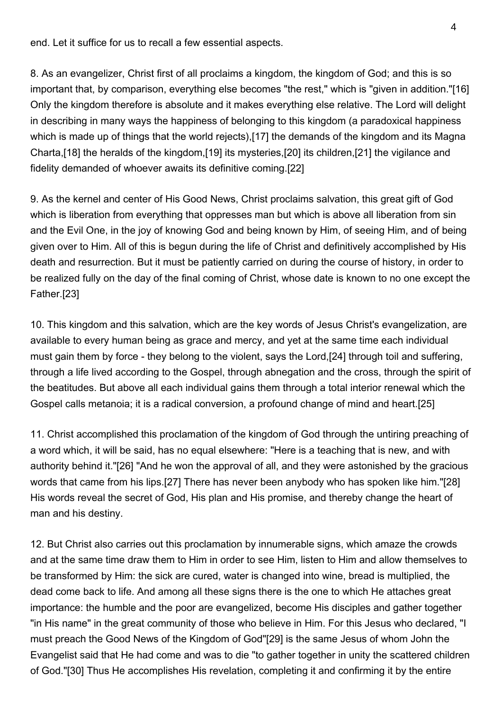end. Let it suffice for us to recall a few essential aspects.

8. As an evangelizer, Christ first of all proclaims a kingdom, the kingdom of God; and this is so important that, by comparison, everything else becomes "the rest," which is "given in addition."[16] Only the kingdom therefore is absolute and it makes everything else relative. The Lord will delight in describing in many ways the happiness of belonging to this kingdom (a paradoxical happiness which is made up of things that the world rejects),[17] the demands of the kingdom and its Magna Charta,[18] the heralds of the kingdom,[19] its mysteries,[20] its children,[21] the vigilance and fidelity demanded of whoever awaits its definitive coming.[22]

9. As the kernel and center of His Good News, Christ proclaims salvation, this great gift of God which is liberation from everything that oppresses man but which is above all liberation from sin and the Evil One, in the joy of knowing God and being known by Him, of seeing Him, and of being given over to Him. All of this is begun during the life of Christ and definitively accomplished by His death and resurrection. But it must be patiently carried on during the course of history, in order to be realized fully on the day of the final coming of Christ, whose date is known to no one except the Father.[23]

10. This kingdom and this salvation, which are the key words of Jesus Christ's evangelization, are available to every human being as grace and mercy, and yet at the same time each individual must gain them by force - they belong to the violent, says the Lord,[24] through toil and suffering, through a life lived according to the Gospel, through abnegation and the cross, through the spirit of the beatitudes. But above all each individual gains them through a total interior renewal which the Gospel calls metanoia; it is a radical conversion, a profound change of mind and heart.[25]

11. Christ accomplished this proclamation of the kingdom of God through the untiring preaching of a word which, it will be said, has no equal elsewhere: "Here is a teaching that is new, and with authority behind it."[26] "And he won the approval of all, and they were astonished by the gracious words that came from his lips.[27] There has never been anybody who has spoken like him."[28] His words reveal the secret of God, His plan and His promise, and thereby change the heart of man and his destiny.

12. But Christ also carries out this proclamation by innumerable signs, which amaze the crowds and at the same time draw them to Him in order to see Him, listen to Him and allow themselves to be transformed by Him: the sick are cured, water is changed into wine, bread is multiplied, the dead come back to life. And among all these signs there is the one to which He attaches great importance: the humble and the poor are evangelized, become His disciples and gather together "in His name" in the great community of those who believe in Him. For this Jesus who declared, "I must preach the Good News of the Kingdom of God"[29] is the same Jesus of whom John the Evangelist said that He had come and was to die "to gather together in unity the scattered children of God."[30] Thus He accomplishes His revelation, completing it and confirming it by the entire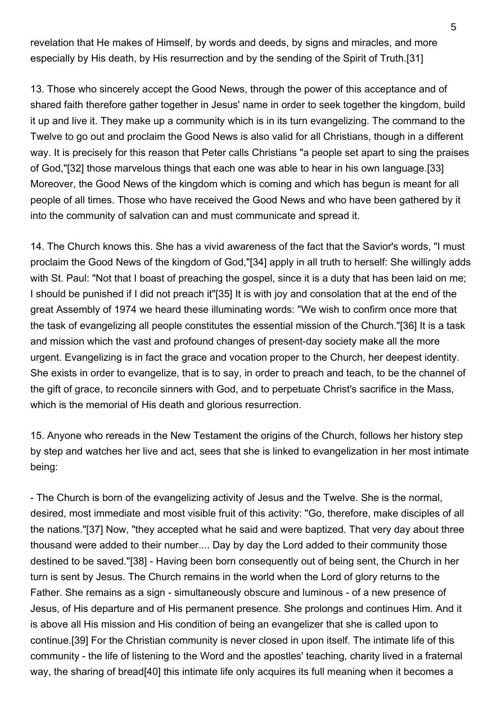revelation that He makes of Himself, by words and deeds, by signs and miracles, and more especially by His death, by His resurrection and by the sending of the Spirit of Truth.[31]

13. Those who sincerely accept the Good News, through the power of this acceptance and of shared faith therefore gather together in Jesus' name in order to seek together the kingdom, build it up and live it. They make up a community which is in its turn evangelizing. The command to the Twelve to go out and proclaim the Good News is also valid for all Christians, though in a different way. It is precisely for this reason that Peter calls Christians "a people set apart to sing the praises of God,"[32] those marvelous things that each one was able to hear in his own language.[33] Moreover, the Good News of the kingdom which is coming and which has begun is meant for all people of all times. Those who have received the Good News and who have been gathered by it into the community of salvation can and must communicate and spread it.

14. The Church knows this. She has a vivid awareness of the fact that the Savior's words, "I must proclaim the Good News of the kingdom of God,"[34] apply in all truth to herself: She willingly adds with St. Paul: "Not that I boast of preaching the gospel, since it is a duty that has been laid on me; I should be punished if I did not preach it"[35] It is with joy and consolation that at the end of the great Assembly of 1974 we heard these illuminating words: "We wish to confirm once more that the task of evangelizing all people constitutes the essential mission of the Church."[36] It is a task and mission which the vast and profound changes of present-day society make all the more urgent. Evangelizing is in fact the grace and vocation proper to the Church, her deepest identity. She exists in order to evangelize, that is to say, in order to preach and teach, to be the channel of the gift of grace, to reconcile sinners with God, and to perpetuate Christ's sacrifice in the Mass, which is the memorial of His death and glorious resurrection.

15. Anyone who rereads in the New Testament the origins of the Church, follows her history step by step and watches her live and act, sees that she is linked to evangelization in her most intimate being:

- The Church is born of the evangelizing activity of Jesus and the Twelve. She is the normal, desired, most immediate and most visible fruit of this activity: "Go, therefore, make disciples of all the nations."[37] Now, "they accepted what he said and were baptized. That very day about three thousand were added to their number.... Day by day the Lord added to their community those destined to be saved."[38] - Having been born consequently out of being sent, the Church in her turn is sent by Jesus. The Church remains in the world when the Lord of glory returns to the Father. She remains as a sign - simultaneously obscure and luminous - of a new presence of Jesus, of His departure and of His permanent presence. She prolongs and continues Him. And it is above all His mission and His condition of being an evangelizer that she is called upon to continue.[39] For the Christian community is never closed in upon itself. The intimate life of this community - the life of listening to the Word and the apostles' teaching, charity lived in a fraternal way, the sharing of bread[40] this intimate life only acquires its full meaning when it becomes a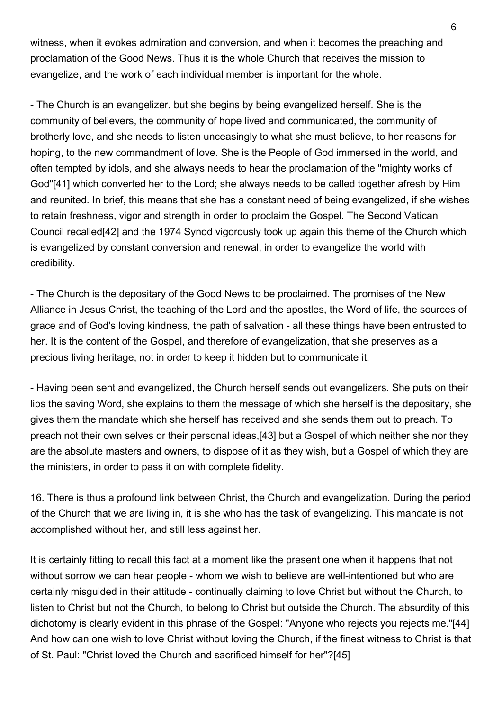witness, when it evokes admiration and conversion, and when it becomes the preaching and proclamation of the Good News. Thus it is the whole Church that receives the mission to evangelize, and the work of each individual member is important for the whole.

- The Church is an evangelizer, but she begins by being evangelized herself. She is the community of believers, the community of hope lived and communicated, the community of brotherly love, and she needs to listen unceasingly to what she must believe, to her reasons for hoping, to the new commandment of love. She is the People of God immersed in the world, and often tempted by idols, and she always needs to hear the proclamation of the "mighty works of God"[41] which converted her to the Lord; she always needs to be called together afresh by Him and reunited. In brief, this means that she has a constant need of being evangelized, if she wishes to retain freshness, vigor and strength in order to proclaim the Gospel. The Second Vatican Council recalled[42] and the 1974 Synod vigorously took up again this theme of the Church which is evangelized by constant conversion and renewal, in order to evangelize the world with credibility.

- The Church is the depositary of the Good News to be proclaimed. The promises of the New Alliance in Jesus Christ, the teaching of the Lord and the apostles, the Word of life, the sources of grace and of God's loving kindness, the path of salvation - all these things have been entrusted to her. It is the content of the Gospel, and therefore of evangelization, that she preserves as a precious living heritage, not in order to keep it hidden but to communicate it.

- Having been sent and evangelized, the Church herself sends out evangelizers. She puts on their lips the saving Word, she explains to them the message of which she herself is the depositary, she gives them the mandate which she herself has received and she sends them out to preach. To preach not their own selves or their personal ideas,[43] but a Gospel of which neither she nor they are the absolute masters and owners, to dispose of it as they wish, but a Gospel of which they are the ministers, in order to pass it on with complete fidelity.

16. There is thus a profound link between Christ, the Church and evangelization. During the period of the Church that we are living in, it is she who has the task of evangelizing. This mandate is not accomplished without her, and still less against her.

It is certainly fitting to recall this fact at a moment like the present one when it happens that not without sorrow we can hear people - whom we wish to believe are well-intentioned but who are certainly misguided in their attitude - continually claiming to love Christ but without the Church, to listen to Christ but not the Church, to belong to Christ but outside the Church. The absurdity of this dichotomy is clearly evident in this phrase of the Gospel: "Anyone who rejects you rejects me."[44] And how can one wish to love Christ without loving the Church, if the finest witness to Christ is that of St. Paul: "Christ loved the Church and sacrificed himself for her"?[45]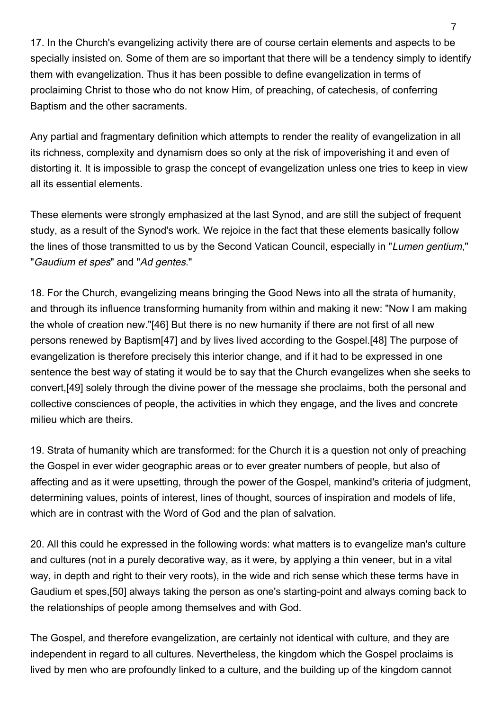17. In the Church's evangelizing activity there are of course certain elements and aspects to be specially insisted on. Some of them are so important that there will be a tendency simply to identify them with evangelization. Thus it has been possible to define evangelization in terms of proclaiming Christ to those who do not know Him, of preaching, of catechesis, of conferring Baptism and the other sacraments.

Any partial and fragmentary definition which attempts to render the reality of evangelization in all its richness, complexity and dynamism does so only at the risk of impoverishing it and even of distorting it. It is impossible to grasp the concept of evangelization unless one tries to keep in view all its essential elements.

These elements were strongly emphasized at the last Synod, and are still the subject of frequent study, as a result of the Synod's work. We rejoice in the fact that these elements basically follow the lines of those transmitted to us by the Second Vatican Council, especially in "Lumen gentium," "Gaudium et spes" and "Ad gentes."

18. For the Church, evangelizing means bringing the Good News into all the strata of humanity, and through its influence transforming humanity from within and making it new: "Now I am making the whole of creation new."[46] But there is no new humanity if there are not first of all new persons renewed by Baptism[47] and by lives lived according to the Gospel.[48] The purpose of evangelization is therefore precisely this interior change, and if it had to be expressed in one sentence the best way of stating it would be to say that the Church evangelizes when she seeks to convert,[49] solely through the divine power of the message she proclaims, both the personal and collective consciences of people, the activities in which they engage, and the lives and concrete milieu which are theirs.

19. Strata of humanity which are transformed: for the Church it is a question not only of preaching the Gospel in ever wider geographic areas or to ever greater numbers of people, but also of affecting and as it were upsetting, through the power of the Gospel, mankind's criteria of judgment, determining values, points of interest, lines of thought, sources of inspiration and models of life, which are in contrast with the Word of God and the plan of salvation.

20. All this could he expressed in the following words: what matters is to evangelize man's culture and cultures (not in a purely decorative way, as it were, by applying a thin veneer, but in a vital way, in depth and right to their very roots), in the wide and rich sense which these terms have in Gaudium et spes,[50] always taking the person as one's starting-point and always coming back to the relationships of people among themselves and with God.

The Gospel, and therefore evangelization, are certainly not identical with culture, and they are independent in regard to all cultures. Nevertheless, the kingdom which the Gospel proclaims is lived by men who are profoundly linked to a culture, and the building up of the kingdom cannot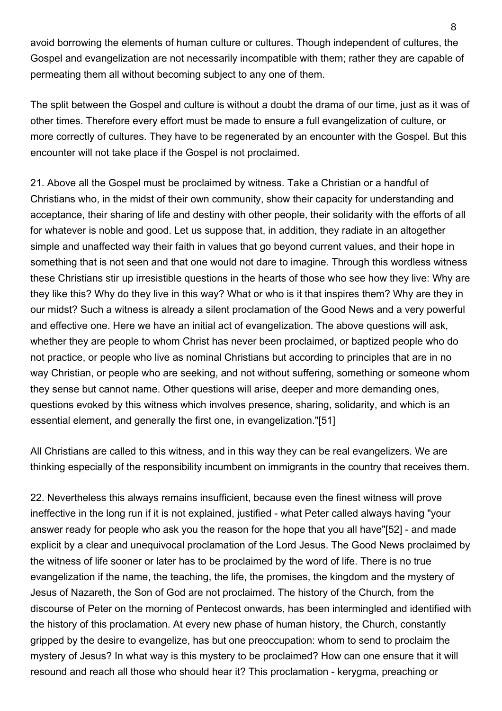avoid borrowing the elements of human culture or cultures. Though independent of cultures, the Gospel and evangelization are not necessarily incompatible with them; rather they are capable of permeating them all without becoming subject to any one of them.

The split between the Gospel and culture is without a doubt the drama of our time, just as it was of other times. Therefore every effort must be made to ensure a full evangelization of culture, or more correctly of cultures. They have to be regenerated by an encounter with the Gospel. But this encounter will not take place if the Gospel is not proclaimed.

21. Above all the Gospel must be proclaimed by witness. Take a Christian or a handful of Christians who, in the midst of their own community, show their capacity for understanding and acceptance, their sharing of life and destiny with other people, their solidarity with the efforts of all for whatever is noble and good. Let us suppose that, in addition, they radiate in an altogether simple and unaffected way their faith in values that go beyond current values, and their hope in something that is not seen and that one would not dare to imagine. Through this wordless witness these Christians stir up irresistible questions in the hearts of those who see how they live: Why are they like this? Why do they live in this way? What or who is it that inspires them? Why are they in our midst? Such a witness is already a silent proclamation of the Good News and a very powerful and effective one. Here we have an initial act of evangelization. The above questions will ask, whether they are people to whom Christ has never been proclaimed, or baptized people who do not practice, or people who live as nominal Christians but according to principles that are in no way Christian, or people who are seeking, and not without suffering, something or someone whom they sense but cannot name. Other questions will arise, deeper and more demanding ones, questions evoked by this witness which involves presence, sharing, solidarity, and which is an essential element, and generally the first one, in evangelization."[51]

All Christians are called to this witness, and in this way they can be real evangelizers. We are thinking especially of the responsibility incumbent on immigrants in the country that receives them.

22. Nevertheless this always remains insufficient, because even the finest witness will prove ineffective in the long run if it is not explained, justified - what Peter called always having "your answer ready for people who ask you the reason for the hope that you all have"[52] - and made explicit by a clear and unequivocal proclamation of the Lord Jesus. The Good News proclaimed by the witness of life sooner or later has to be proclaimed by the word of life. There is no true evangelization if the name, the teaching, the life, the promises, the kingdom and the mystery of Jesus of Nazareth, the Son of God are not proclaimed. The history of the Church, from the discourse of Peter on the morning of Pentecost onwards, has been intermingled and identified with the history of this proclamation. At every new phase of human history, the Church, constantly gripped by the desire to evangelize, has but one preoccupation: whom to send to proclaim the mystery of Jesus? In what way is this mystery to be proclaimed? How can one ensure that it will resound and reach all those who should hear it? This proclamation - kerygma, preaching or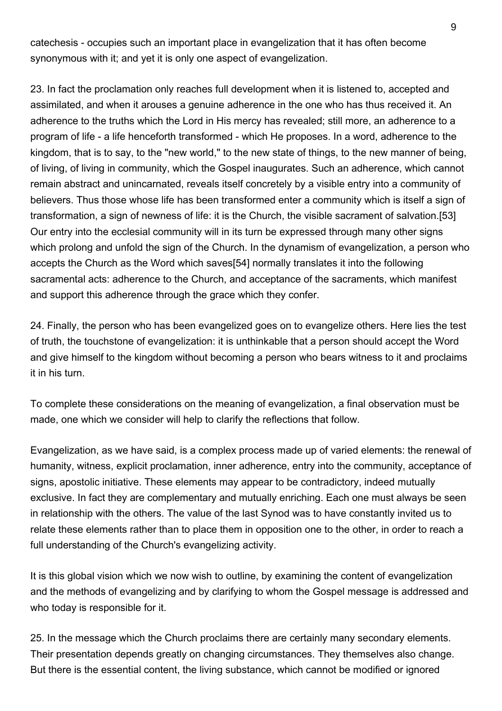catechesis - occupies such an important place in evangelization that it has often become synonymous with it; and yet it is only one aspect of evangelization.

23. In fact the proclamation only reaches full development when it is listened to, accepted and assimilated, and when it arouses a genuine adherence in the one who has thus received it. An adherence to the truths which the Lord in His mercy has revealed; still more, an adherence to a program of life - a life henceforth transformed - which He proposes. In a word, adherence to the kingdom, that is to say, to the "new world," to the new state of things, to the new manner of being, of living, of living in community, which the Gospel inaugurates. Such an adherence, which cannot remain abstract and unincarnated, reveals itself concretely by a visible entry into a community of believers. Thus those whose life has been transformed enter a community which is itself a sign of transformation, a sign of newness of life: it is the Church, the visible sacrament of salvation.[53] Our entry into the ecclesial community will in its turn be expressed through many other signs which prolong and unfold the sign of the Church. In the dynamism of evangelization, a person who accepts the Church as the Word which saves[54] normally translates it into the following sacramental acts: adherence to the Church, and acceptance of the sacraments, which manifest and support this adherence through the grace which they confer.

24. Finally, the person who has been evangelized goes on to evangelize others. Here lies the test of truth, the touchstone of evangelization: it is unthinkable that a person should accept the Word and give himself to the kingdom without becoming a person who bears witness to it and proclaims it in his turn.

To complete these considerations on the meaning of evangelization, a final observation must be made, one which we consider will help to clarify the reflections that follow.

Evangelization, as we have said, is a complex process made up of varied elements: the renewal of humanity, witness, explicit proclamation, inner adherence, entry into the community, acceptance of signs, apostolic initiative. These elements may appear to be contradictory, indeed mutually exclusive. In fact they are complementary and mutually enriching. Each one must always be seen in relationship with the others. The value of the last Synod was to have constantly invited us to relate these elements rather than to place them in opposition one to the other, in order to reach a full understanding of the Church's evangelizing activity.

It is this global vision which we now wish to outline, by examining the content of evangelization and the methods of evangelizing and by clarifying to whom the Gospel message is addressed and who today is responsible for it.

25. In the message which the Church proclaims there are certainly many secondary elements. Their presentation depends greatly on changing circumstances. They themselves also change. But there is the essential content, the living substance, which cannot be modified or ignored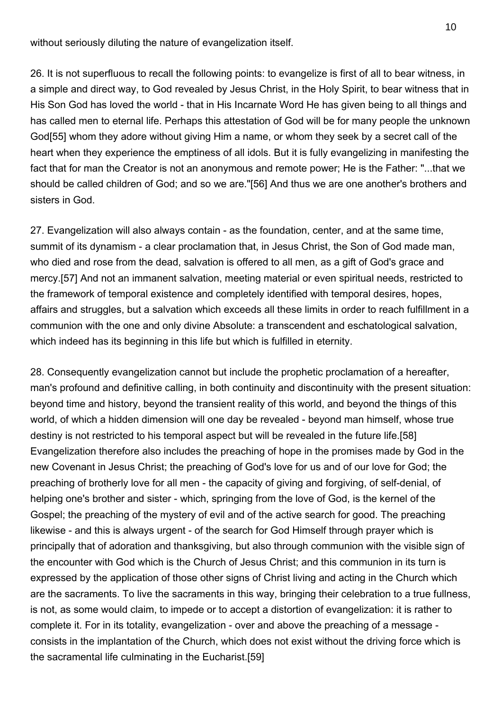without seriously diluting the nature of evangelization itself.

26. It is not superfluous to recall the following points: to evangelize is first of all to bear witness, in a simple and direct way, to God revealed by Jesus Christ, in the Holy Spirit, to bear witness that in His Son God has loved the world - that in His Incarnate Word He has given being to all things and has called men to eternal life. Perhaps this attestation of God will be for many people the unknown God[55] whom they adore without giving Him a name, or whom they seek by a secret call of the heart when they experience the emptiness of all idols. But it is fully evangelizing in manifesting the fact that for man the Creator is not an anonymous and remote power; He is the Father: "...that we should be called children of God; and so we are."[56] And thus we are one another's brothers and sisters in God.

27. Evangelization will also always contain - as the foundation, center, and at the same time, summit of its dynamism - a clear proclamation that, in Jesus Christ, the Son of God made man, who died and rose from the dead, salvation is offered to all men, as a gift of God's grace and mercy.[57] And not an immanent salvation, meeting material or even spiritual needs, restricted to the framework of temporal existence and completely identified with temporal desires, hopes, affairs and struggles, but a salvation which exceeds all these limits in order to reach fulfillment in a communion with the one and only divine Absolute: a transcendent and eschatological salvation, which indeed has its beginning in this life but which is fulfilled in eternity.

28. Consequently evangelization cannot but include the prophetic proclamation of a hereafter, man's profound and definitive calling, in both continuity and discontinuity with the present situation: beyond time and history, beyond the transient reality of this world, and beyond the things of this world, of which a hidden dimension will one day be revealed - beyond man himself, whose true destiny is not restricted to his temporal aspect but will be revealed in the future life.[58] Evangelization therefore also includes the preaching of hope in the promises made by God in the new Covenant in Jesus Christ; the preaching of God's love for us and of our love for God; the preaching of brotherly love for all men - the capacity of giving and forgiving, of self-denial, of helping one's brother and sister - which, springing from the love of God, is the kernel of the Gospel; the preaching of the mystery of evil and of the active search for good. The preaching likewise - and this is always urgent - of the search for God Himself through prayer which is principally that of adoration and thanksgiving, but also through communion with the visible sign of the encounter with God which is the Church of Jesus Christ; and this communion in its turn is expressed by the application of those other signs of Christ living and acting in the Church which are the sacraments. To live the sacraments in this way, bringing their celebration to a true fullness, is not, as some would claim, to impede or to accept a distortion of evangelization: it is rather to complete it. For in its totality, evangelization - over and above the preaching of a message consists in the implantation of the Church, which does not exist without the driving force which is the sacramental life culminating in the Eucharist.[59]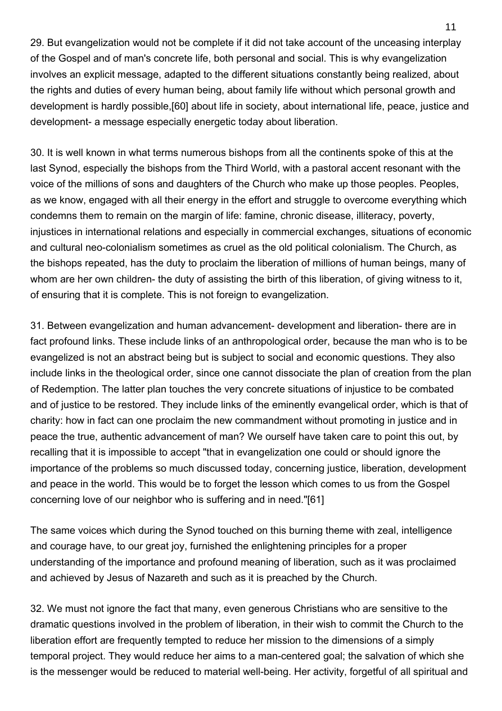29. But evangelization would not be complete if it did not take account of the unceasing interplay of the Gospel and of man's concrete life, both personal and social. This is why evangelization involves an explicit message, adapted to the different situations constantly being realized, about the rights and duties of every human being, about family life without which personal growth and development is hardly possible,[60] about life in society, about international life, peace, justice and development- a message especially energetic today about liberation.

30. It is well known in what terms numerous bishops from all the continents spoke of this at the last Synod, especially the bishops from the Third World, with a pastoral accent resonant with the voice of the millions of sons and daughters of the Church who make up those peoples. Peoples, as we know, engaged with all their energy in the effort and struggle to overcome everything which condemns them to remain on the margin of life: famine, chronic disease, illiteracy, poverty, injustices in international relations and especially in commercial exchanges, situations of economic and cultural neo-colonialism sometimes as cruel as the old political colonialism. The Church, as the bishops repeated, has the duty to proclaim the liberation of millions of human beings, many of whom are her own children- the duty of assisting the birth of this liberation, of giving witness to it, of ensuring that it is complete. This is not foreign to evangelization.

31. Between evangelization and human advancement- development and liberation- there are in fact profound links. These include links of an anthropological order, because the man who is to be evangelized is not an abstract being but is subject to social and economic questions. They also include links in the theological order, since one cannot dissociate the plan of creation from the plan of Redemption. The latter plan touches the very concrete situations of injustice to be combated and of justice to be restored. They include links of the eminently evangelical order, which is that of charity: how in fact can one proclaim the new commandment without promoting in justice and in peace the true, authentic advancement of man? We ourself have taken care to point this out, by recalling that it is impossible to accept "that in evangelization one could or should ignore the importance of the problems so much discussed today, concerning justice, liberation, development and peace in the world. This would be to forget the lesson which comes to us from the Gospel concerning love of our neighbor who is suffering and in need."[61]

The same voices which during the Synod touched on this burning theme with zeal, intelligence and courage have, to our great joy, furnished the enlightening principles for a proper understanding of the importance and profound meaning of liberation, such as it was proclaimed and achieved by Jesus of Nazareth and such as it is preached by the Church.

32. We must not ignore the fact that many, even generous Christians who are sensitive to the dramatic questions involved in the problem of liberation, in their wish to commit the Church to the liberation effort are frequently tempted to reduce her mission to the dimensions of a simply temporal project. They would reduce her aims to a man-centered goal; the salvation of which she is the messenger would be reduced to material well-being. Her activity, forgetful of all spiritual and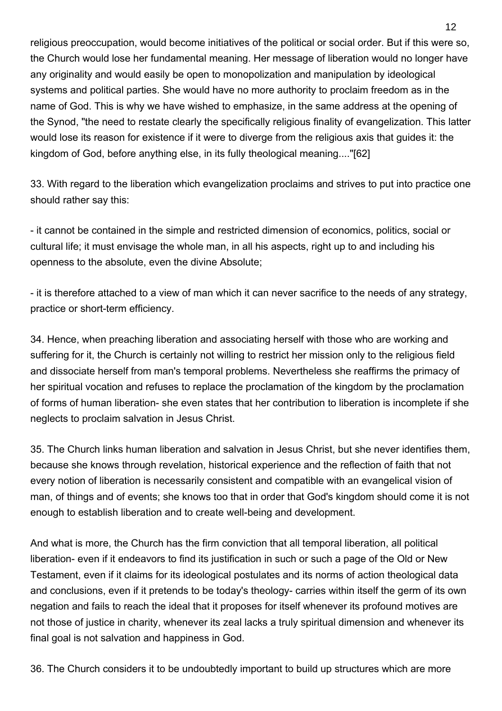religious preoccupation, would become initiatives of the political or social order. But if this were so, the Church would lose her fundamental meaning. Her message of liberation would no longer have any originality and would easily be open to monopolization and manipulation by ideological systems and political parties. She would have no more authority to proclaim freedom as in the name of God. This is why we have wished to emphasize, in the same address at the opening of the Synod, "the need to restate clearly the specifically religious finality of evangelization. This latter would lose its reason for existence if it were to diverge from the religious axis that guides it: the kingdom of God, before anything else, in its fully theological meaning...."[62]

33. With regard to the liberation which evangelization proclaims and strives to put into practice one should rather say this:

- it cannot be contained in the simple and restricted dimension of economics, politics, social or cultural life; it must envisage the whole man, in all his aspects, right up to and including his openness to the absolute, even the divine Absolute;

- it is therefore attached to a view of man which it can never sacrifice to the needs of any strategy, practice or short-term efficiency.

34. Hence, when preaching liberation and associating herself with those who are working and suffering for it, the Church is certainly not willing to restrict her mission only to the religious field and dissociate herself from man's temporal problems. Nevertheless she reaffirms the primacy of her spiritual vocation and refuses to replace the proclamation of the kingdom by the proclamation of forms of human liberation- she even states that her contribution to liberation is incomplete if she neglects to proclaim salvation in Jesus Christ.

35. The Church links human liberation and salvation in Jesus Christ, but she never identifies them, because she knows through revelation, historical experience and the reflection of faith that not every notion of liberation is necessarily consistent and compatible with an evangelical vision of man, of things and of events; she knows too that in order that God's kingdom should come it is not enough to establish liberation and to create well-being and development.

And what is more, the Church has the firm conviction that all temporal liberation, all political liberation- even if it endeavors to find its justification in such or such a page of the Old or New Testament, even if it claims for its ideological postulates and its norms of action theological data and conclusions, even if it pretends to be today's theology- carries within itself the germ of its own negation and fails to reach the ideal that it proposes for itself whenever its profound motives are not those of justice in charity, whenever its zeal lacks a truly spiritual dimension and whenever its final goal is not salvation and happiness in God.

36. The Church considers it to be undoubtedly important to build up structures which are more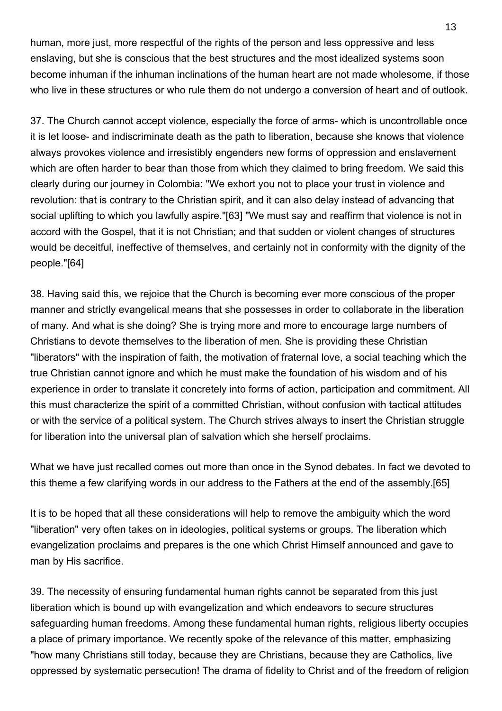human, more just, more respectful of the rights of the person and less oppressive and less enslaving, but she is conscious that the best structures and the most idealized systems soon become inhuman if the inhuman inclinations of the human heart are not made wholesome, if those who live in these structures or who rule them do not undergo a conversion of heart and of outlook.

37. The Church cannot accept violence, especially the force of arms- which is uncontrollable once it is let loose- and indiscriminate death as the path to liberation, because she knows that violence always provokes violence and irresistibly engenders new forms of oppression and enslavement which are often harder to bear than those from which they claimed to bring freedom. We said this clearly during our journey in Colombia: "We exhort you not to place your trust in violence and revolution: that is contrary to the Christian spirit, and it can also delay instead of advancing that social uplifting to which you lawfully aspire."[63] "We must say and reaffirm that violence is not in accord with the Gospel, that it is not Christian; and that sudden or violent changes of structures would be deceitful, ineffective of themselves, and certainly not in conformity with the dignity of the people."[64]

38. Having said this, we rejoice that the Church is becoming ever more conscious of the proper manner and strictly evangelical means that she possesses in order to collaborate in the liberation of many. And what is she doing? She is trying more and more to encourage large numbers of Christians to devote themselves to the liberation of men. She is providing these Christian "liberators" with the inspiration of faith, the motivation of fraternal love, a social teaching which the true Christian cannot ignore and which he must make the foundation of his wisdom and of his experience in order to translate it concretely into forms of action, participation and commitment. All this must characterize the spirit of a committed Christian, without confusion with tactical attitudes or with the service of a political system. The Church strives always to insert the Christian struggle for liberation into the universal plan of salvation which she herself proclaims.

What we have just recalled comes out more than once in the Synod debates. In fact we devoted to this theme a few clarifying words in our address to the Fathers at the end of the assembly.[65]

It is to be hoped that all these considerations will help to remove the ambiguity which the word "liberation" very often takes on in ideologies, political systems or groups. The liberation which evangelization proclaims and prepares is the one which Christ Himself announced and gave to man by His sacrifice.

39. The necessity of ensuring fundamental human rights cannot be separated from this just liberation which is bound up with evangelization and which endeavors to secure structures safeguarding human freedoms. Among these fundamental human rights, religious liberty occupies a place of primary importance. We recently spoke of the relevance of this matter, emphasizing "how many Christians still today, because they are Christians, because they are Catholics, live oppressed by systematic persecution! The drama of fidelity to Christ and of the freedom of religion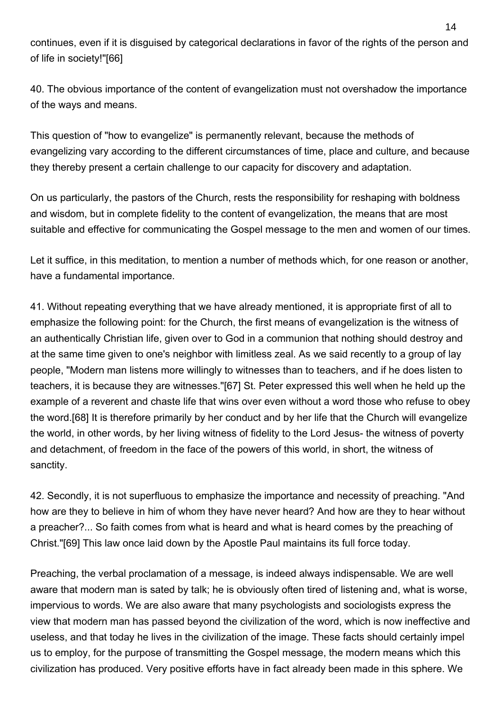continues, even if it is disguised by categorical declarations in favor of the rights of the person and of life in society!"[66]

40. The obvious importance of the content of evangelization must not overshadow the importance of the ways and means.

This question of "how to evangelize" is permanently relevant, because the methods of evangelizing vary according to the different circumstances of time, place and culture, and because they thereby present a certain challenge to our capacity for discovery and adaptation.

On us particularly, the pastors of the Church, rests the responsibility for reshaping with boldness and wisdom, but in complete fidelity to the content of evangelization, the means that are most suitable and effective for communicating the Gospel message to the men and women of our times.

Let it suffice, in this meditation, to mention a number of methods which, for one reason or another, have a fundamental importance.

41. Without repeating everything that we have already mentioned, it is appropriate first of all to emphasize the following point: for the Church, the first means of evangelization is the witness of an authentically Christian life, given over to God in a communion that nothing should destroy and at the same time given to one's neighbor with limitless zeal. As we said recently to a group of lay people, "Modern man listens more willingly to witnesses than to teachers, and if he does listen to teachers, it is because they are witnesses."[67] St. Peter expressed this well when he held up the example of a reverent and chaste life that wins over even without a word those who refuse to obey the word.[68] It is therefore primarily by her conduct and by her life that the Church will evangelize the world, in other words, by her living witness of fidelity to the Lord Jesus- the witness of poverty and detachment, of freedom in the face of the powers of this world, in short, the witness of sanctity.

42. Secondly, it is not superfluous to emphasize the importance and necessity of preaching. "And how are they to believe in him of whom they have never heard? And how are they to hear without a preacher?... So faith comes from what is heard and what is heard comes by the preaching of Christ."[69] This law once laid down by the Apostle Paul maintains its full force today.

Preaching, the verbal proclamation of a message, is indeed always indispensable. We are well aware that modern man is sated by talk; he is obviously often tired of listening and, what is worse, impervious to words. We are also aware that many psychologists and sociologists express the view that modern man has passed beyond the civilization of the word, which is now ineffective and useless, and that today he lives in the civilization of the image. These facts should certainly impel us to employ, for the purpose of transmitting the Gospel message, the modern means which this civilization has produced. Very positive efforts have in fact already been made in this sphere. We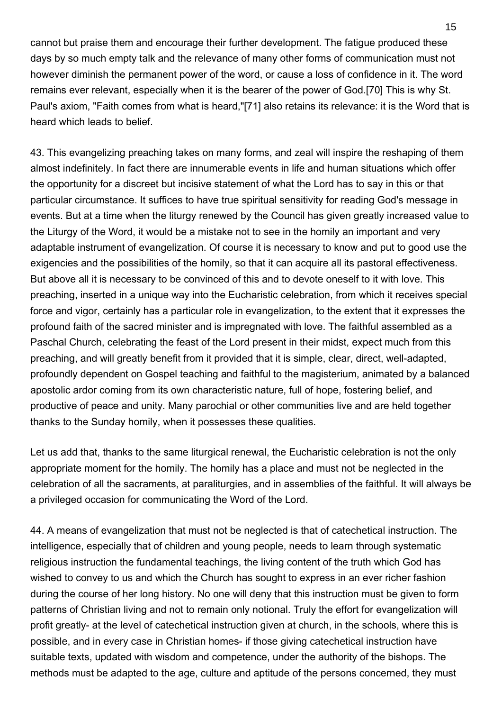cannot but praise them and encourage their further development. The fatigue produced these days by so much empty talk and the relevance of many other forms of communication must not however diminish the permanent power of the word, or cause a loss of confidence in it. The word remains ever relevant, especially when it is the bearer of the power of God.[70] This is why St. Paul's axiom, "Faith comes from what is heard,"[71] also retains its relevance: it is the Word that is heard which leads to belief.

43. This evangelizing preaching takes on many forms, and zeal will inspire the reshaping of them almost indefinitely. In fact there are innumerable events in life and human situations which offer the opportunity for a discreet but incisive statement of what the Lord has to say in this or that particular circumstance. It suffices to have true spiritual sensitivity for reading God's message in events. But at a time when the liturgy renewed by the Council has given greatly increased value to the Liturgy of the Word, it would be a mistake not to see in the homily an important and very adaptable instrument of evangelization. Of course it is necessary to know and put to good use the exigencies and the possibilities of the homily, so that it can acquire all its pastoral effectiveness. But above all it is necessary to be convinced of this and to devote oneself to it with love. This preaching, inserted in a unique way into the Eucharistic celebration, from which it receives special force and vigor, certainly has a particular role in evangelization, to the extent that it expresses the profound faith of the sacred minister and is impregnated with love. The faithful assembled as a Paschal Church, celebrating the feast of the Lord present in their midst, expect much from this preaching, and will greatly benefit from it provided that it is simple, clear, direct, well-adapted, profoundly dependent on Gospel teaching and faithful to the magisterium, animated by a balanced apostolic ardor coming from its own characteristic nature, full of hope, fostering belief, and productive of peace and unity. Many parochial or other communities live and are held together thanks to the Sunday homily, when it possesses these qualities.

Let us add that, thanks to the same liturgical renewal, the Eucharistic celebration is not the only appropriate moment for the homily. The homily has a place and must not be neglected in the celebration of all the sacraments, at paraliturgies, and in assemblies of the faithful. It will always be a privileged occasion for communicating the Word of the Lord.

44. A means of evangelization that must not be neglected is that of catechetical instruction. The intelligence, especially that of children and young people, needs to learn through systematic religious instruction the fundamental teachings, the living content of the truth which God has wished to convey to us and which the Church has sought to express in an ever richer fashion during the course of her long history. No one will deny that this instruction must be given to form patterns of Christian living and not to remain only notional. Truly the effort for evangelization will profit greatly- at the level of catechetical instruction given at church, in the schools, where this is possible, and in every case in Christian homes- if those giving catechetical instruction have suitable texts, updated with wisdom and competence, under the authority of the bishops. The methods must be adapted to the age, culture and aptitude of the persons concerned, they must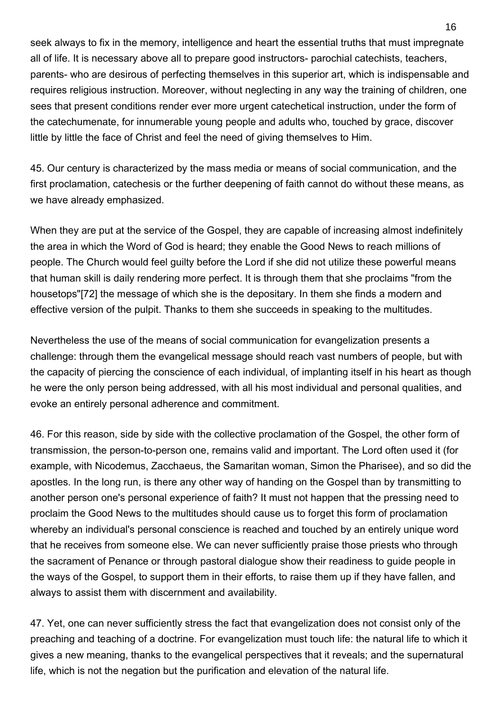seek always to fix in the memory, intelligence and heart the essential truths that must impregnate all of life. It is necessary above all to prepare good instructors- parochial catechists, teachers, parents- who are desirous of perfecting themselves in this superior art, which is indispensable and requires religious instruction. Moreover, without neglecting in any way the training of children, one sees that present conditions render ever more urgent catechetical instruction, under the form of the catechumenate, for innumerable young people and adults who, touched by grace, discover little by little the face of Christ and feel the need of giving themselves to Him.

45. Our century is characterized by the mass media or means of social communication, and the first proclamation, catechesis or the further deepening of faith cannot do without these means, as we have already emphasized.

When they are put at the service of the Gospel, they are capable of increasing almost indefinitely the area in which the Word of God is heard; they enable the Good News to reach millions of people. The Church would feel guilty before the Lord if she did not utilize these powerful means that human skill is daily rendering more perfect. It is through them that she proclaims "from the housetops"[72] the message of which she is the depositary. In them she finds a modern and effective version of the pulpit. Thanks to them she succeeds in speaking to the multitudes.

Nevertheless the use of the means of social communication for evangelization presents a challenge: through them the evangelical message should reach vast numbers of people, but with the capacity of piercing the conscience of each individual, of implanting itself in his heart as though he were the only person being addressed, with all his most individual and personal qualities, and evoke an entirely personal adherence and commitment.

46. For this reason, side by side with the collective proclamation of the Gospel, the other form of transmission, the person-to-person one, remains valid and important. The Lord often used it (for example, with Nicodemus, Zacchaeus, the Samaritan woman, Simon the Pharisee), and so did the apostles. In the long run, is there any other way of handing on the Gospel than by transmitting to another person one's personal experience of faith? It must not happen that the pressing need to proclaim the Good News to the multitudes should cause us to forget this form of proclamation whereby an individual's personal conscience is reached and touched by an entirely unique word that he receives from someone else. We can never sufficiently praise those priests who through the sacrament of Penance or through pastoral dialogue show their readiness to guide people in the ways of the Gospel, to support them in their efforts, to raise them up if they have fallen, and always to assist them with discernment and availability.

47. Yet, one can never sufficiently stress the fact that evangelization does not consist only of the preaching and teaching of a doctrine. For evangelization must touch life: the natural life to which it gives a new meaning, thanks to the evangelical perspectives that it reveals; and the supernatural life, which is not the negation but the purification and elevation of the natural life.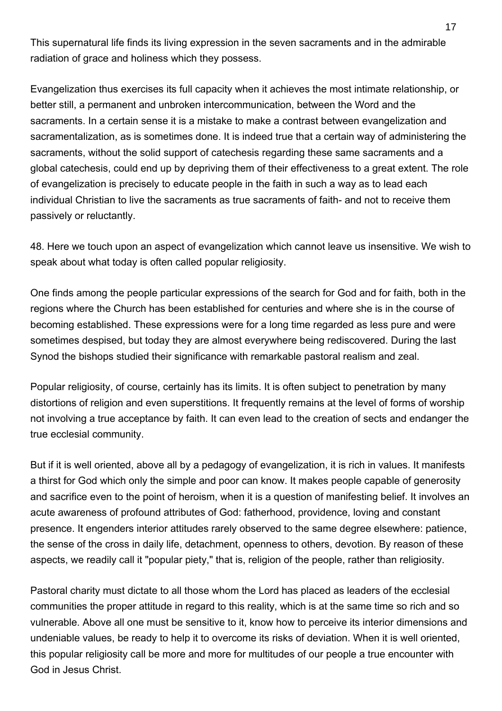This supernatural life finds its living expression in the seven sacraments and in the admirable radiation of grace and holiness which they possess.

Evangelization thus exercises its full capacity when it achieves the most intimate relationship, or better still, a permanent and unbroken intercommunication, between the Word and the sacraments. In a certain sense it is a mistake to make a contrast between evangelization and sacramentalization, as is sometimes done. It is indeed true that a certain way of administering the sacraments, without the solid support of catechesis regarding these same sacraments and a global catechesis, could end up by depriving them of their effectiveness to a great extent. The role of evangelization is precisely to educate people in the faith in such a way as to lead each individual Christian to live the sacraments as true sacraments of faith- and not to receive them passively or reluctantly.

48. Here we touch upon an aspect of evangelization which cannot leave us insensitive. We wish to speak about what today is often called popular religiosity.

One finds among the people particular expressions of the search for God and for faith, both in the regions where the Church has been established for centuries and where she is in the course of becoming established. These expressions were for a long time regarded as less pure and were sometimes despised, but today they are almost everywhere being rediscovered. During the last Synod the bishops studied their significance with remarkable pastoral realism and zeal.

Popular religiosity, of course, certainly has its limits. It is often subject to penetration by many distortions of religion and even superstitions. It frequently remains at the level of forms of worship not involving a true acceptance by faith. It can even lead to the creation of sects and endanger the true ecclesial community.

But if it is well oriented, above all by a pedagogy of evangelization, it is rich in values. It manifests a thirst for God which only the simple and poor can know. It makes people capable of generosity and sacrifice even to the point of heroism, when it is a question of manifesting belief. It involves an acute awareness of profound attributes of God: fatherhood, providence, loving and constant presence. It engenders interior attitudes rarely observed to the same degree elsewhere: patience, the sense of the cross in daily life, detachment, openness to others, devotion. By reason of these aspects, we readily call it "popular piety," that is, religion of the people, rather than religiosity.

Pastoral charity must dictate to all those whom the Lord has placed as leaders of the ecclesial communities the proper attitude in regard to this reality, which is at the same time so rich and so vulnerable. Above all one must be sensitive to it, know how to perceive its interior dimensions and undeniable values, be ready to help it to overcome its risks of deviation. When it is well oriented, this popular religiosity call be more and more for multitudes of our people a true encounter with God in Jesus Christ.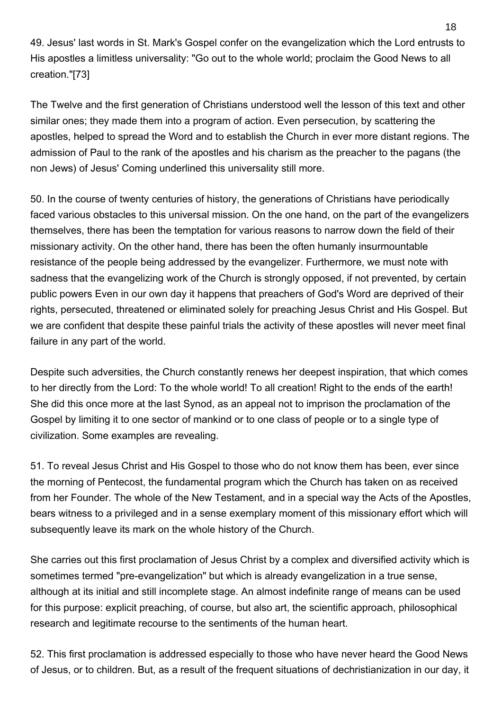49. Jesus' last words in St. Mark's Gospel confer on the evangelization which the Lord entrusts to His apostles a limitless universality: "Go out to the whole world; proclaim the Good News to all creation."[73]

The Twelve and the first generation of Christians understood well the lesson of this text and other similar ones; they made them into a program of action. Even persecution, by scattering the apostles, helped to spread the Word and to establish the Church in ever more distant regions. The admission of Paul to the rank of the apostles and his charism as the preacher to the pagans (the non Jews) of Jesus' Coming underlined this universality still more.

50. In the course of twenty centuries of history, the generations of Christians have periodically faced various obstacles to this universal mission. On the one hand, on the part of the evangelizers themselves, there has been the temptation for various reasons to narrow down the field of their missionary activity. On the other hand, there has been the often humanly insurmountable resistance of the people being addressed by the evangelizer. Furthermore, we must note with sadness that the evangelizing work of the Church is strongly opposed, if not prevented, by certain public powers Even in our own day it happens that preachers of God's Word are deprived of their rights, persecuted, threatened or eliminated solely for preaching Jesus Christ and His Gospel. But we are confident that despite these painful trials the activity of these apostles will never meet final failure in any part of the world.

Despite such adversities, the Church constantly renews her deepest inspiration, that which comes to her directly from the Lord: To the whole world! To all creation! Right to the ends of the earth! She did this once more at the last Synod, as an appeal not to imprison the proclamation of the Gospel by limiting it to one sector of mankind or to one class of people or to a single type of civilization. Some examples are revealing.

51. To reveal Jesus Christ and His Gospel to those who do not know them has been, ever since the morning of Pentecost, the fundamental program which the Church has taken on as received from her Founder. The whole of the New Testament, and in a special way the Acts of the Apostles, bears witness to a privileged and in a sense exemplary moment of this missionary effort which will subsequently leave its mark on the whole history of the Church.

She carries out this first proclamation of Jesus Christ by a complex and diversified activity which is sometimes termed "pre-evangelization" but which is already evangelization in a true sense, although at its initial and still incomplete stage. An almost indefinite range of means can be used for this purpose: explicit preaching, of course, but also art, the scientific approach, philosophical research and legitimate recourse to the sentiments of the human heart.

52. This first proclamation is addressed especially to those who have never heard the Good News of Jesus, or to children. But, as a result of the frequent situations of dechristianization in our day, it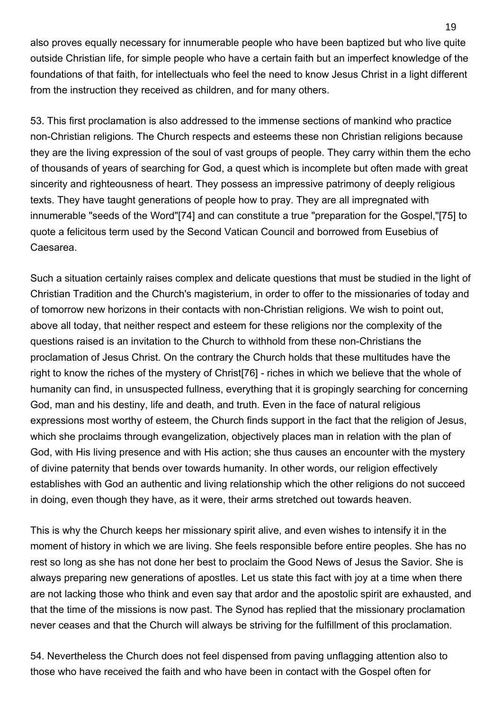also proves equally necessary for innumerable people who have been baptized but who live quite outside Christian life, for simple people who have a certain faith but an imperfect knowledge of the foundations of that faith, for intellectuals who feel the need to know Jesus Christ in a light different from the instruction they received as children, and for many others.

53. This first proclamation is also addressed to the immense sections of mankind who practice non-Christian religions. The Church respects and esteems these non Christian religions because they are the living expression of the soul of vast groups of people. They carry within them the echo of thousands of years of searching for God, a quest which is incomplete but often made with great sincerity and righteousness of heart. They possess an impressive patrimony of deeply religious texts. They have taught generations of people how to pray. They are all impregnated with innumerable "seeds of the Word"[74] and can constitute a true "preparation for the Gospel,"[75] to quote a felicitous term used by the Second Vatican Council and borrowed from Eusebius of Caesarea.

Such a situation certainly raises complex and delicate questions that must be studied in the light of Christian Tradition and the Church's magisterium, in order to offer to the missionaries of today and of tomorrow new horizons in their contacts with non-Christian religions. We wish to point out, above all today, that neither respect and esteem for these religions nor the complexity of the questions raised is an invitation to the Church to withhold from these non-Christians the proclamation of Jesus Christ. On the contrary the Church holds that these multitudes have the right to know the riches of the mystery of Christ[76] - riches in which we believe that the whole of humanity can find, in unsuspected fullness, everything that it is gropingly searching for concerning God, man and his destiny, life and death, and truth. Even in the face of natural religious expressions most worthy of esteem, the Church finds support in the fact that the religion of Jesus, which she proclaims through evangelization, objectively places man in relation with the plan of God, with His living presence and with His action; she thus causes an encounter with the mystery of divine paternity that bends over towards humanity. In other words, our religion effectively establishes with God an authentic and living relationship which the other religions do not succeed in doing, even though they have, as it were, their arms stretched out towards heaven.

This is why the Church keeps her missionary spirit alive, and even wishes to intensify it in the moment of history in which we are living. She feels responsible before entire peoples. She has no rest so long as she has not done her best to proclaim the Good News of Jesus the Savior. She is always preparing new generations of apostles. Let us state this fact with joy at a time when there are not lacking those who think and even say that ardor and the apostolic spirit are exhausted, and that the time of the missions is now past. The Synod has replied that the missionary proclamation never ceases and that the Church will always be striving for the fulfillment of this proclamation.

54. Nevertheless the Church does not feel dispensed from paving unflagging attention also to those who have received the faith and who have been in contact with the Gospel often for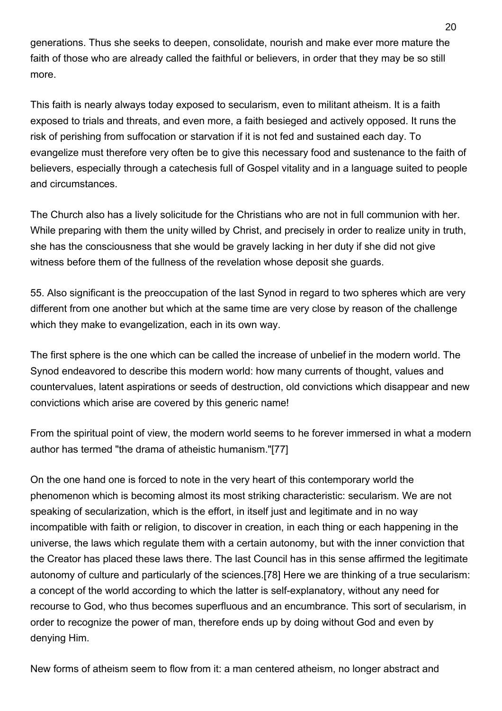generations. Thus she seeks to deepen, consolidate, nourish and make ever more mature the faith of those who are already called the faithful or believers, in order that they may be so still more.

This faith is nearly always today exposed to secularism, even to militant atheism. It is a faith exposed to trials and threats, and even more, a faith besieged and actively opposed. It runs the risk of perishing from suffocation or starvation if it is not fed and sustained each day. To evangelize must therefore very often be to give this necessary food and sustenance to the faith of believers, especially through a catechesis full of Gospel vitality and in a language suited to people and circumstances.

The Church also has a lively solicitude for the Christians who are not in full communion with her. While preparing with them the unity willed by Christ, and precisely in order to realize unity in truth, she has the consciousness that she would be gravely lacking in her duty if she did not give witness before them of the fullness of the revelation whose deposit she guards.

55. Also significant is the preoccupation of the last Synod in regard to two spheres which are very different from one another but which at the same time are very close by reason of the challenge which they make to evangelization, each in its own way.

The first sphere is the one which can be called the increase of unbelief in the modern world. The Synod endeavored to describe this modern world: how many currents of thought, values and countervalues, latent aspirations or seeds of destruction, old convictions which disappear and new convictions which arise are covered by this generic name!

From the spiritual point of view, the modern world seems to he forever immersed in what a modern author has termed "the drama of atheistic humanism."[77]

On the one hand one is forced to note in the very heart of this contemporary world the phenomenon which is becoming almost its most striking characteristic: secularism. We are not speaking of secularization, which is the effort, in itself just and legitimate and in no way incompatible with faith or religion, to discover in creation, in each thing or each happening in the universe, the laws which regulate them with a certain autonomy, but with the inner conviction that the Creator has placed these laws there. The last Council has in this sense affirmed the legitimate autonomy of culture and particularly of the sciences.[78] Here we are thinking of a true secularism: a concept of the world according to which the latter is self-explanatory, without any need for recourse to God, who thus becomes superfluous and an encumbrance. This sort of secularism, in order to recognize the power of man, therefore ends up by doing without God and even by denying Him.

New forms of atheism seem to flow from it: a man centered atheism, no longer abstract and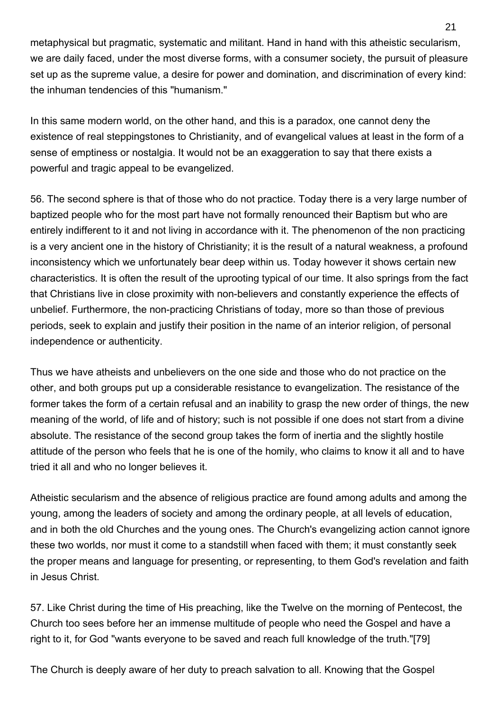metaphysical but pragmatic, systematic and militant. Hand in hand with this atheistic secularism, we are daily faced, under the most diverse forms, with a consumer society, the pursuit of pleasure set up as the supreme value, a desire for power and domination, and discrimination of every kind: the inhuman tendencies of this "humanism."

In this same modern world, on the other hand, and this is a paradox, one cannot deny the existence of real steppingstones to Christianity, and of evangelical values at least in the form of a sense of emptiness or nostalgia. It would not be an exaggeration to say that there exists a powerful and tragic appeal to be evangelized.

56. The second sphere is that of those who do not practice. Today there is a very large number of baptized people who for the most part have not formally renounced their Baptism but who are entirely indifferent to it and not living in accordance with it. The phenomenon of the non practicing is a very ancient one in the history of Christianity; it is the result of a natural weakness, a profound inconsistency which we unfortunately bear deep within us. Today however it shows certain new characteristics. It is often the result of the uprooting typical of our time. It also springs from the fact that Christians live in close proximity with non-believers and constantly experience the effects of unbelief. Furthermore, the non-practicing Christians of today, more so than those of previous periods, seek to explain and justify their position in the name of an interior religion, of personal independence or authenticity.

Thus we have atheists and unbelievers on the one side and those who do not practice on the other, and both groups put up a considerable resistance to evangelization. The resistance of the former takes the form of a certain refusal and an inability to grasp the new order of things, the new meaning of the world, of life and of history; such is not possible if one does not start from a divine absolute. The resistance of the second group takes the form of inertia and the slightly hostile attitude of the person who feels that he is one of the homily, who claims to know it all and to have tried it all and who no longer believes it.

Atheistic secularism and the absence of religious practice are found among adults and among the young, among the leaders of society and among the ordinary people, at all levels of education, and in both the old Churches and the young ones. The Church's evangelizing action cannot ignore these two worlds, nor must it come to a standstill when faced with them; it must constantly seek the proper means and language for presenting, or representing, to them God's revelation and faith in Jesus Christ.

57. Like Christ during the time of His preaching, like the Twelve on the morning of Pentecost, the Church too sees before her an immense multitude of people who need the Gospel and have a right to it, for God "wants everyone to be saved and reach full knowledge of the truth."[79]

The Church is deeply aware of her duty to preach salvation to all. Knowing that the Gospel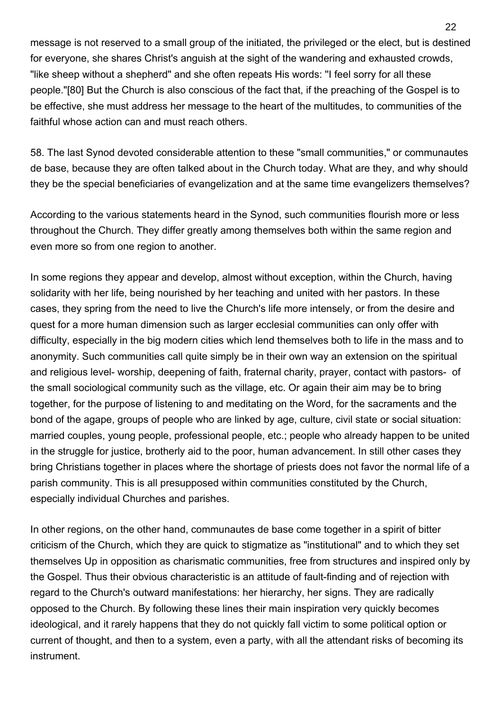message is not reserved to a small group of the initiated, the privileged or the elect, but is destined for everyone, she shares Christ's anguish at the sight of the wandering and exhausted crowds, "like sheep without a shepherd" and she often repeats His words: ''I feel sorry for all these people."[80] But the Church is also conscious of the fact that, if the preaching of the Gospel is to be effective, she must address her message to the heart of the multitudes, to communities of the faithful whose action can and must reach others.

58. The last Synod devoted considerable attention to these "small communities," or communautes de base, because they are often talked about in the Church today. What are they, and why should they be the special beneficiaries of evangelization and at the same time evangelizers themselves?

According to the various statements heard in the Synod, such communities flourish more or less throughout the Church. They differ greatly among themselves both within the same region and even more so from one region to another.

In some regions they appear and develop, almost without exception, within the Church, having solidarity with her life, being nourished by her teaching and united with her pastors. In these cases, they spring from the need to live the Church's life more intensely, or from the desire and quest for a more human dimension such as larger ecclesial communities can only offer with difficulty, especially in the big modern cities which lend themselves both to life in the mass and to anonymity. Such communities call quite simply be in their own way an extension on the spiritual and religious level- worship, deepening of faith, fraternal charity, prayer, contact with pastors- of the small sociological community such as the village, etc. Or again their aim may be to bring together, for the purpose of listening to and meditating on the Word, for the sacraments and the bond of the agape, groups of people who are linked by age, culture, civil state or social situation: married couples, young people, professional people, etc.; people who already happen to be united in the struggle for justice, brotherly aid to the poor, human advancement. In still other cases they bring Christians together in places where the shortage of priests does not favor the normal life of a parish community. This is all presupposed within communities constituted by the Church, especially individual Churches and parishes.

In other regions, on the other hand, communautes de base come together in a spirit of bitter criticism of the Church, which they are quick to stigmatize as "institutional" and to which they set themselves Up in opposition as charismatic communities, free from structures and inspired only by the Gospel. Thus their obvious characteristic is an attitude of fault-finding and of rejection with regard to the Church's outward manifestations: her hierarchy, her signs. They are radically opposed to the Church. By following these lines their main inspiration very quickly becomes ideological, and it rarely happens that they do not quickly fall victim to some political option or current of thought, and then to a system, even a party, with all the attendant risks of becoming its instrument.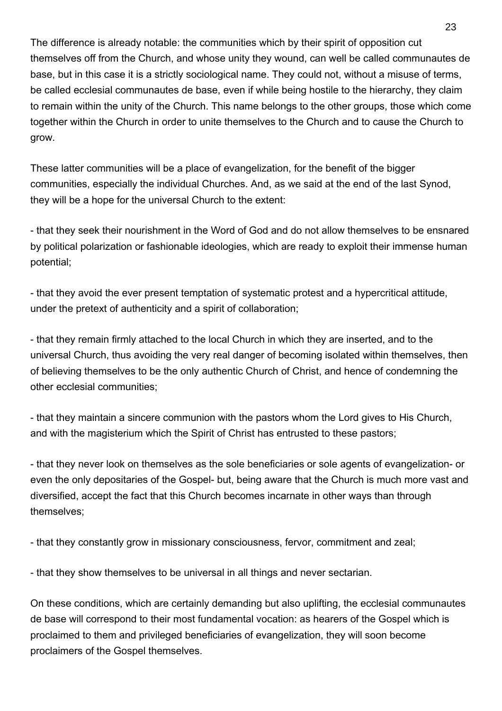The difference is already notable: the communities which by their spirit of opposition cut themselves off from the Church, and whose unity they wound, can well be called communautes de base, but in this case it is a strictly sociological name. They could not, without a misuse of terms, be called ecclesial communautes de base, even if while being hostile to the hierarchy, they claim to remain within the unity of the Church. This name belongs to the other groups, those which come together within the Church in order to unite themselves to the Church and to cause the Church to grow.

These latter communities will be a place of evangelization, for the benefit of the bigger communities, especially the individual Churches. And, as we said at the end of the last Synod, they will be a hope for the universal Church to the extent:

- that they seek their nourishment in the Word of God and do not allow themselves to be ensnared by political polarization or fashionable ideologies, which are ready to exploit their immense human potential;

- that they avoid the ever present temptation of systematic protest and a hypercritical attitude, under the pretext of authenticity and a spirit of collaboration;

- that they remain firmly attached to the local Church in which they are inserted, and to the universal Church, thus avoiding the very real danger of becoming isolated within themselves, then of believing themselves to be the only authentic Church of Christ, and hence of condemning the other ecclesial communities;

- that they maintain a sincere communion with the pastors whom the Lord gives to His Church, and with the magisterium which the Spirit of Christ has entrusted to these pastors;

- that they never look on themselves as the sole beneficiaries or sole agents of evangelization- or even the only depositaries of the Gospel- but, being aware that the Church is much more vast and diversified, accept the fact that this Church becomes incarnate in other ways than through themselves;

- that they constantly grow in missionary consciousness, fervor, commitment and zeal;

- that they show themselves to be universal in all things and never sectarian.

On these conditions, which are certainly demanding but also uplifting, the ecclesial communautes de base will correspond to their most fundamental vocation: as hearers of the Gospel which is proclaimed to them and privileged beneficiaries of evangelization, they will soon become proclaimers of the Gospel themselves.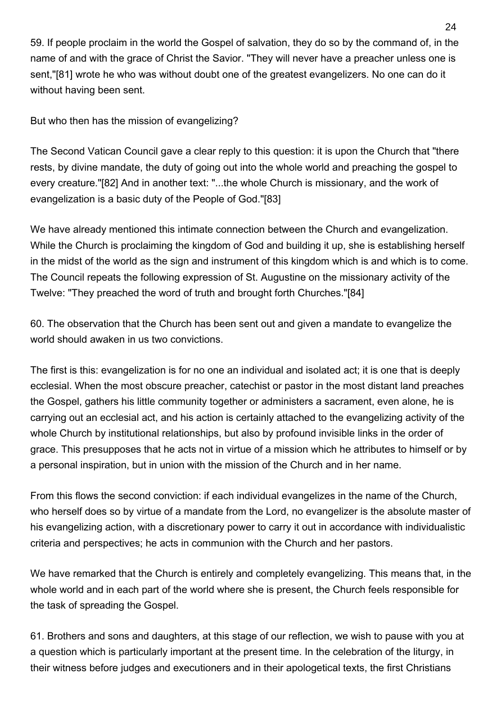59. If people proclaim in the world the Gospel of salvation, they do so by the command of, in the name of and with the grace of Christ the Savior. "They will never have a preacher unless one is sent,"[81] wrote he who was without doubt one of the greatest evangelizers. No one can do it without having been sent.

But who then has the mission of evangelizing?

The Second Vatican Council gave a clear reply to this question: it is upon the Church that "there rests, by divine mandate, the duty of going out into the whole world and preaching the gospel to every creature."[82] And in another text: "...the whole Church is missionary, and the work of evangelization is a basic duty of the People of God."[83]

We have already mentioned this intimate connection between the Church and evangelization. While the Church is proclaiming the kingdom of God and building it up, she is establishing herself in the midst of the world as the sign and instrument of this kingdom which is and which is to come. The Council repeats the following expression of St. Augustine on the missionary activity of the Twelve: "They preached the word of truth and brought forth Churches."[84]

60. The observation that the Church has been sent out and given a mandate to evangelize the world should awaken in us two convictions.

The first is this: evangelization is for no one an individual and isolated act; it is one that is deeply ecclesial. When the most obscure preacher, catechist or pastor in the most distant land preaches the Gospel, gathers his little community together or administers a sacrament, even alone, he is carrying out an ecclesial act, and his action is certainly attached to the evangelizing activity of the whole Church by institutional relationships, but also by profound invisible links in the order of grace. This presupposes that he acts not in virtue of a mission which he attributes to himself or by a personal inspiration, but in union with the mission of the Church and in her name.

From this flows the second conviction: if each individual evangelizes in the name of the Church, who herself does so by virtue of a mandate from the Lord, no evangelizer is the absolute master of his evangelizing action, with a discretionary power to carry it out in accordance with individualistic criteria and perspectives; he acts in communion with the Church and her pastors.

We have remarked that the Church is entirely and completely evangelizing. This means that, in the whole world and in each part of the world where she is present, the Church feels responsible for the task of spreading the Gospel.

61. Brothers and sons and daughters, at this stage of our reflection, we wish to pause with you at a question which is particularly important at the present time. In the celebration of the liturgy, in their witness before judges and executioners and in their apologetical texts, the first Christians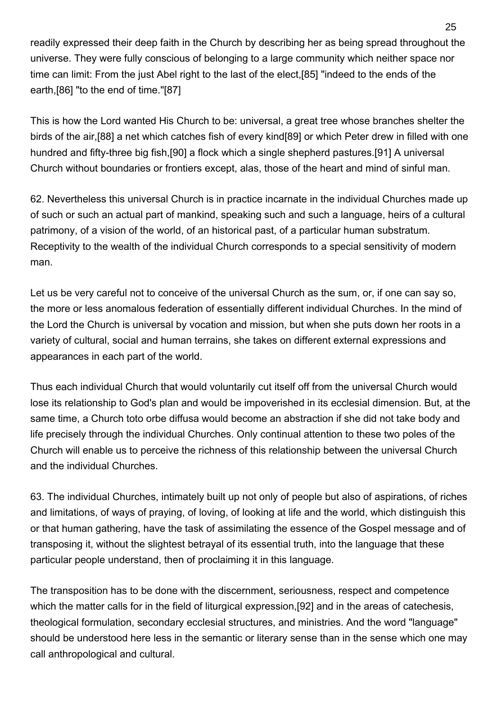readily expressed their deep faith in the Church by describing her as being spread throughout the universe. They were fully conscious of belonging to a large community which neither space nor time can limit: From the just Abel right to the last of the elect,[85] "indeed to the ends of the earth,[86] "to the end of time."[87]

This is how the Lord wanted His Church to be: universal, a great tree whose branches shelter the birds of the air,[88] a net which catches fish of every kind[89] or which Peter drew in filled with one hundred and fifty-three big fish,[90] a flock which a single shepherd pastures.[91] A universal Church without boundaries or frontiers except, alas, those of the heart and mind of sinful man.

62. Nevertheless this universal Church is in practice incarnate in the individual Churches made up of such or such an actual part of mankind, speaking such and such a language, heirs of a cultural patrimony, of a vision of the world, of an historical past, of a particular human substratum. Receptivity to the wealth of the individual Church corresponds to a special sensitivity of modern man.

Let us be very careful not to conceive of the universal Church as the sum, or, if one can say so, the more or less anomalous federation of essentially different individual Churches. In the mind of the Lord the Church is universal by vocation and mission, but when she puts down her roots in a variety of cultural, social and human terrains, she takes on different external expressions and appearances in each part of the world.

Thus each individual Church that would voluntarily cut itself off from the universal Church would lose its relationship to God's plan and would be impoverished in its ecclesial dimension. But, at the same time, a Church toto orbe diffusa would become an abstraction if she did not take body and life precisely through the individual Churches. Only continual attention to these two poles of the Church will enable us to perceive the richness of this relationship between the universal Church and the individual Churches.

63. The individual Churches, intimately built up not only of people but also of aspirations, of riches and limitations, of ways of praying, of loving, of looking at life and the world, which distinguish this or that human gathering, have the task of assimilating the essence of the Gospel message and of transposing it, without the slightest betrayal of its essential truth, into the language that these particular people understand, then of proclaiming it in this language.

The transposition has to be done with the discernment, seriousness, respect and competence which the matter calls for in the field of liturgical expression. [92] and in the areas of catechesis, theological formulation, secondary ecclesial structures, and ministries. And the word "language" should be understood here less in the semantic or literary sense than in the sense which one may call anthropological and cultural.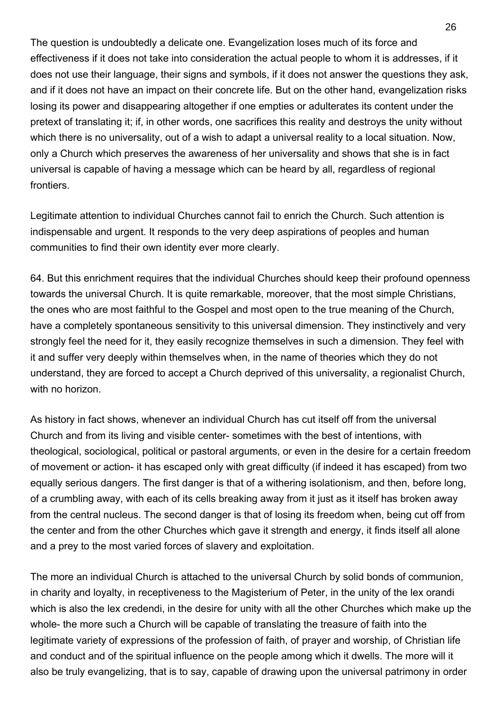The question is undoubtedly a delicate one. Evangelization loses much of its force and effectiveness if it does not take into consideration the actual people to whom it is addresses, if it does not use their language, their signs and symbols, if it does not answer the questions they ask, and if it does not have an impact on their concrete life. But on the other hand, evangelization risks losing its power and disappearing altogether if one empties or adulterates its content under the pretext of translating it; if, in other words, one sacrifices this reality and destroys the unity without which there is no universality, out of a wish to adapt a universal reality to a local situation. Now, only a Church which preserves the awareness of her universality and shows that she is in fact universal is capable of having a message which can be heard by all, regardless of regional frontiers.

Legitimate attention to individual Churches cannot fail to enrich the Church. Such attention is indispensable and urgent. It responds to the very deep aspirations of peoples and human communities to find their own identity ever more clearly.

64. But this enrichment requires that the individual Churches should keep their profound openness towards the universal Church. It is quite remarkable, moreover, that the most simple Christians, the ones who are most faithful to the Gospel and most open to the true meaning of the Church, have a completely spontaneous sensitivity to this universal dimension. They instinctively and very strongly feel the need for it, they easily recognize themselves in such a dimension. They feel with it and suffer very deeply within themselves when, in the name of theories which they do not understand, they are forced to accept a Church deprived of this universality, a regionalist Church, with no horizon.

As history in fact shows, whenever an individual Church has cut itself off from the universal Church and from its living and visible center- sometimes with the best of intentions, with theological, sociological, political or pastoral arguments, or even in the desire for a certain freedom of movement or action- it has escaped only with great difficulty (if indeed it has escaped) from two equally serious dangers. The first danger is that of a withering isolationism, and then, before long, of a crumbling away, with each of its cells breaking away from it just as it itself has broken away from the central nucleus. The second danger is that of losing its freedom when, being cut off from the center and from the other Churches which gave it strength and energy, it finds itself all alone and a prey to the most varied forces of slavery and exploitation.

The more an individual Church is attached to the universal Church by solid bonds of communion, in charity and loyalty, in receptiveness to the Magisterium of Peter, in the unity of the lex orandi which is also the lex credendi, in the desire for unity with all the other Churches which make up the whole- the more such a Church will be capable of translating the treasure of faith into the legitimate variety of expressions of the profession of faith, of prayer and worship, of Christian life and conduct and of the spiritual influence on the people among which it dwells. The more will it also be truly evangelizing, that is to say, capable of drawing upon the universal patrimony in order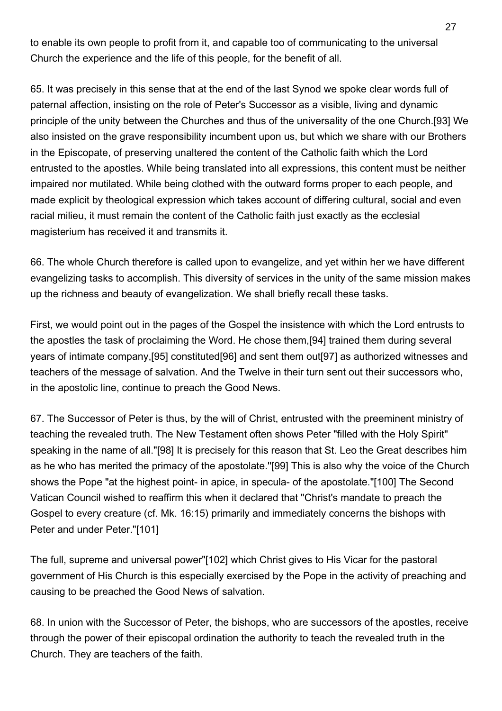to enable its own people to profit from it, and capable too of communicating to the universal Church the experience and the life of this people, for the benefit of all.

65. It was precisely in this sense that at the end of the last Synod we spoke clear words full of paternal affection, insisting on the role of Peter's Successor as a visible, living and dynamic principle of the unity between the Churches and thus of the universality of the one Church.[93] We also insisted on the grave responsibility incumbent upon us, but which we share with our Brothers in the Episcopate, of preserving unaltered the content of the Catholic faith which the Lord entrusted to the apostles. While being translated into all expressions, this content must be neither impaired nor mutilated. While being clothed with the outward forms proper to each people, and made explicit by theological expression which takes account of differing cultural, social and even racial milieu, it must remain the content of the Catholic faith just exactly as the ecclesial magisterium has received it and transmits it.

66. The whole Church therefore is called upon to evangelize, and yet within her we have different evangelizing tasks to accomplish. This diversity of services in the unity of the same mission makes up the richness and beauty of evangelization. We shall briefly recall these tasks.

First, we would point out in the pages of the Gospel the insistence with which the Lord entrusts to the apostles the task of proclaiming the Word. He chose them,[94] trained them during several years of intimate company,[95] constituted[96] and sent them out[97] as authorized witnesses and teachers of the message of salvation. And the Twelve in their turn sent out their successors who, in the apostolic line, continue to preach the Good News.

67. The Successor of Peter is thus, by the will of Christ, entrusted with the preeminent ministry of teaching the revealed truth. The New Testament often shows Peter "filled with the Holy Spirit" speaking in the name of all."[98] It is precisely for this reason that St. Leo the Great describes him as he who has merited the primacy of the apostolate.''[99] This is also why the voice of the Church shows the Pope "at the highest point- in apice, in specula- of the apostolate."[100] The Second Vatican Council wished to reaffirm this when it declared that "Christ's mandate to preach the Gospel to every creature (cf. Mk. 16:15) primarily and immediately concerns the bishops with Peter and under Peter."[101]

The full, supreme and universal power"[102] which Christ gives to His Vicar for the pastoral government of His Church is this especially exercised by the Pope in the activity of preaching and causing to be preached the Good News of salvation.

68. In union with the Successor of Peter, the bishops, who are successors of the apostles, receive through the power of their episcopal ordination the authority to teach the revealed truth in the Church. They are teachers of the faith.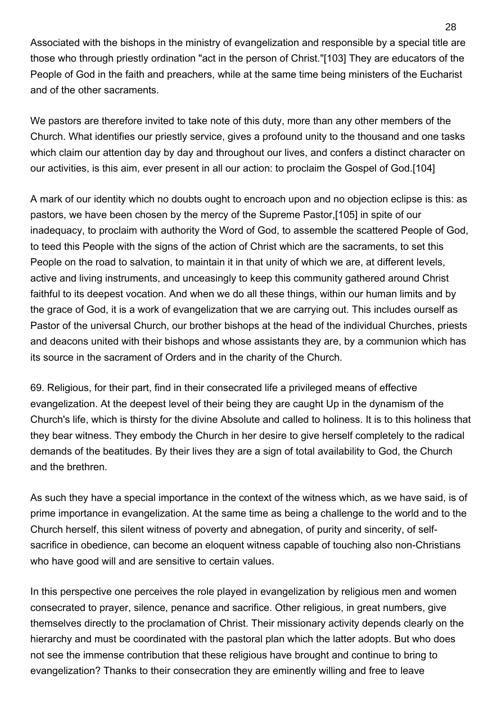Associated with the bishops in the ministry of evangelization and responsible by a special title are those who through priestly ordination "act in the person of Christ."[103] They are educators of the People of God in the faith and preachers, while at the same time being ministers of the Eucharist and of the other sacraments.

We pastors are therefore invited to take note of this duty, more than any other members of the Church. What identifies our priestly service, gives a profound unity to the thousand and one tasks which claim our attention day by day and throughout our lives, and confers a distinct character on our activities, is this aim, ever present in all our action: to proclaim the Gospel of God.[104]

A mark of our identity which no doubts ought to encroach upon and no objection eclipse is this: as pastors, we have been chosen by the mercy of the Supreme Pastor,[105] in spite of our inadequacy, to proclaim with authority the Word of God, to assemble the scattered People of God, to teed this People with the signs of the action of Christ which are the sacraments, to set this People on the road to salvation, to maintain it in that unity of which we are, at different levels, active and living instruments, and unceasingly to keep this community gathered around Christ faithful to its deepest vocation. And when we do all these things, within our human limits and by the grace of God, it is a work of evangelization that we are carrying out. This includes ourself as Pastor of the universal Church, our brother bishops at the head of the individual Churches, priests and deacons united with their bishops and whose assistants they are, by a communion which has its source in the sacrament of Orders and in the charity of the Church.

69. Religious, for their part, find in their consecrated life a privileged means of effective evangelization. At the deepest level of their being they are caught Up in the dynamism of the Church's life, which is thirsty for the divine Absolute and called to holiness. It is to this holiness that they bear witness. They embody the Church in her desire to give herself completely to the radical demands of the beatitudes. By their lives they are a sign of total availability to God, the Church and the brethren.

As such they have a special importance in the context of the witness which, as we have said, is of prime importance in evangelization. At the same time as being a challenge to the world and to the Church herself, this silent witness of poverty and abnegation, of purity and sincerity, of selfsacrifice in obedience, can become an eloquent witness capable of touching also non-Christians who have good will and are sensitive to certain values.

In this perspective one perceives the role played in evangelization by religious men and women consecrated to prayer, silence, penance and sacrifice. Other religious, in great numbers, give themselves directly to the proclamation of Christ. Their missionary activity depends clearly on the hierarchy and must be coordinated with the pastoral plan which the latter adopts. But who does not see the immense contribution that these religious have brought and continue to bring to evangelization? Thanks to their consecration they are eminently willing and free to leave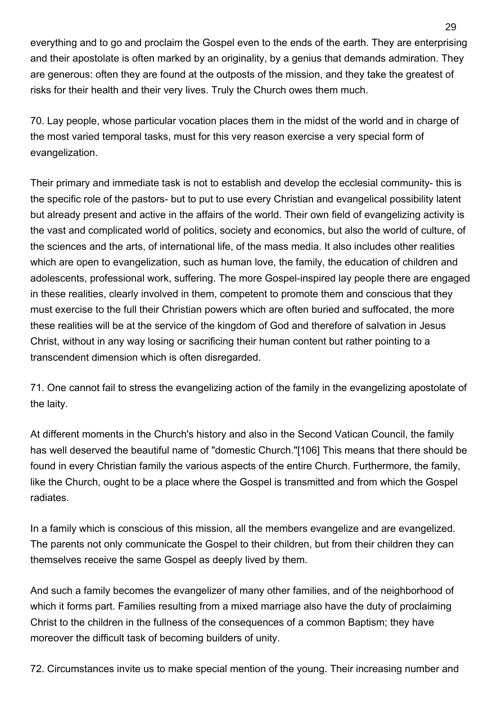everything and to go and proclaim the Gospel even to the ends of the earth. They are enterprising and their apostolate is often marked by an originality, by a genius that demands admiration. They are generous: often they are found at the outposts of the mission, and they take the greatest of risks for their health and their very lives. Truly the Church owes them much.

70. Lay people, whose particular vocation places them in the midst of the world and in charge of the most varied temporal tasks, must for this very reason exercise a very special form of evangelization.

Their primary and immediate task is not to establish and develop the ecclesial community- this is the specific role of the pastors- but to put to use every Christian and evangelical possibility latent but already present and active in the affairs of the world. Their own field of evangelizing activity is the vast and complicated world of politics, society and economics, but also the world of culture, of the sciences and the arts, of international life, of the mass media. It also includes other realities which are open to evangelization, such as human love, the family, the education of children and adolescents, professional work, suffering. The more Gospel-inspired lay people there are engaged in these realities, clearly involved in them, competent to promote them and conscious that they must exercise to the full their Christian powers which are often buried and suffocated, the more these realities will be at the service of the kingdom of God and therefore of salvation in Jesus Christ, without in any way losing or sacrificing their human content but rather pointing to a transcendent dimension which is often disregarded.

71. One cannot fail to stress the evangelizing action of the family in the evangelizing apostolate of the laity.

At different moments in the Church's history and also in the Second Vatican Council, the family has well deserved the beautiful name of "domestic Church."[106] This means that there should be found in every Christian family the various aspects of the entire Church. Furthermore, the family, like the Church, ought to be a place where the Gospel is transmitted and from which the Gospel radiates.

In a family which is conscious of this mission, all the members evangelize and are evangelized. The parents not only communicate the Gospel to their children, but from their children they can themselves receive the same Gospel as deeply lived by them.

And such a family becomes the evangelizer of many other families, and of the neighborhood of which it forms part. Families resulting from a mixed marriage also have the duty of proclaiming Christ to the children in the fullness of the consequences of a common Baptism; they have moreover the difficult task of becoming builders of unity.

72. Circumstances invite us to make special mention of the young. Their increasing number and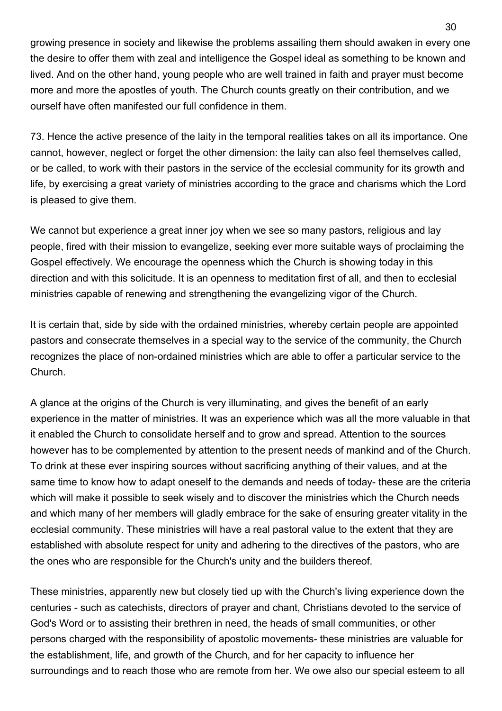growing presence in society and likewise the problems assailing them should awaken in every one the desire to offer them with zeal and intelligence the Gospel ideal as something to be known and lived. And on the other hand, young people who are well trained in faith and prayer must become more and more the apostles of youth. The Church counts greatly on their contribution, and we ourself have often manifested our full confidence in them.

73. Hence the active presence of the laity in the temporal realities takes on all its importance. One cannot, however, neglect or forget the other dimension: the laity can also feel themselves called, or be called, to work with their pastors in the service of the ecclesial community for its growth and life, by exercising a great variety of ministries according to the grace and charisms which the Lord is pleased to give them.

We cannot but experience a great inner joy when we see so many pastors, religious and lay people, fired with their mission to evangelize, seeking ever more suitable ways of proclaiming the Gospel effectively. We encourage the openness which the Church is showing today in this direction and with this solicitude. It is an openness to meditation first of all, and then to ecclesial ministries capable of renewing and strengthening the evangelizing vigor of the Church.

It is certain that, side by side with the ordained ministries, whereby certain people are appointed pastors and consecrate themselves in a special way to the service of the community, the Church recognizes the place of non-ordained ministries which are able to offer a particular service to the Church.

A glance at the origins of the Church is very illuminating, and gives the benefit of an early experience in the matter of ministries. It was an experience which was all the more valuable in that it enabled the Church to consolidate herself and to grow and spread. Attention to the sources however has to be complemented by attention to the present needs of mankind and of the Church. To drink at these ever inspiring sources without sacrificing anything of their values, and at the same time to know how to adapt oneself to the demands and needs of today- these are the criteria which will make it possible to seek wisely and to discover the ministries which the Church needs and which many of her members will gladly embrace for the sake of ensuring greater vitality in the ecclesial community. These ministries will have a real pastoral value to the extent that they are established with absolute respect for unity and adhering to the directives of the pastors, who are the ones who are responsible for the Church's unity and the builders thereof.

These ministries, apparently new but closely tied up with the Church's living experience down the centuries - such as catechists, directors of prayer and chant, Christians devoted to the service of God's Word or to assisting their brethren in need, the heads of small communities, or other persons charged with the responsibility of apostolic movements- these ministries are valuable for the establishment, life, and growth of the Church, and for her capacity to influence her surroundings and to reach those who are remote from her. We owe also our special esteem to all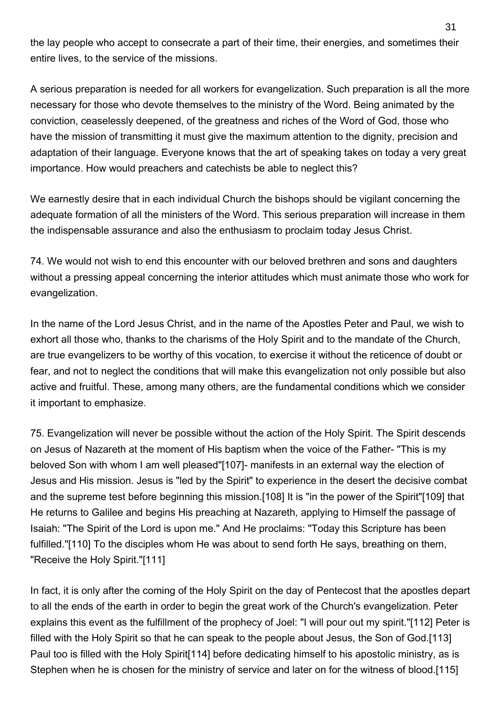the lay people who accept to consecrate a part of their time, their energies, and sometimes their entire lives, to the service of the missions.

A serious preparation is needed for all workers for evangelization. Such preparation is all the more necessary for those who devote themselves to the ministry of the Word. Being animated by the conviction, ceaselessly deepened, of the greatness and riches of the Word of God, those who have the mission of transmitting it must give the maximum attention to the dignity, precision and adaptation of their language. Everyone knows that the art of speaking takes on today a very great importance. How would preachers and catechists be able to neglect this?

We earnestly desire that in each individual Church the bishops should be vigilant concerning the adequate formation of all the ministers of the Word. This serious preparation will increase in them the indispensable assurance and also the enthusiasm to proclaim today Jesus Christ.

74. We would not wish to end this encounter with our beloved brethren and sons and daughters without a pressing appeal concerning the interior attitudes which must animate those who work for evangelization.

In the name of the Lord Jesus Christ, and in the name of the Apostles Peter and Paul, we wish to exhort all those who, thanks to the charisms of the Holy Spirit and to the mandate of the Church, are true evangelizers to be worthy of this vocation, to exercise it without the reticence of doubt or fear, and not to neglect the conditions that will make this evangelization not only possible but also active and fruitful. These, among many others, are the fundamental conditions which we consider it important to emphasize.

75. Evangelization will never be possible without the action of the Holy Spirit. The Spirit descends on Jesus of Nazareth at the moment of His baptism when the voice of the Father- "This is my beloved Son with whom I am well pleased"[107]- manifests in an external way the election of Jesus and His mission. Jesus is "led by the Spirit" to experience in the desert the decisive combat and the supreme test before beginning this mission.[108] It is "in the power of the Spirit"[109] that He returns to Galilee and begins His preaching at Nazareth, applying to Himself the passage of Isaiah: "The Spirit of the Lord is upon me." And He proclaims: "Today this Scripture has been fulfilled."[110] To the disciples whom He was about to send forth He says, breathing on them, "Receive the Holy Spirit."[111]

In fact, it is only after the coming of the Holy Spirit on the day of Pentecost that the apostles depart to all the ends of the earth in order to begin the great work of the Church's evangelization. Peter explains this event as the fulfillment of the prophecy of Joel: "I will pour out my spirit."[112] Peter is filled with the Holy Spirit so that he can speak to the people about Jesus, the Son of God.[113] Paul too is filled with the Holy Spirit[114] before dedicating himself to his apostolic ministry, as is Stephen when he is chosen for the ministry of service and later on for the witness of blood.[115]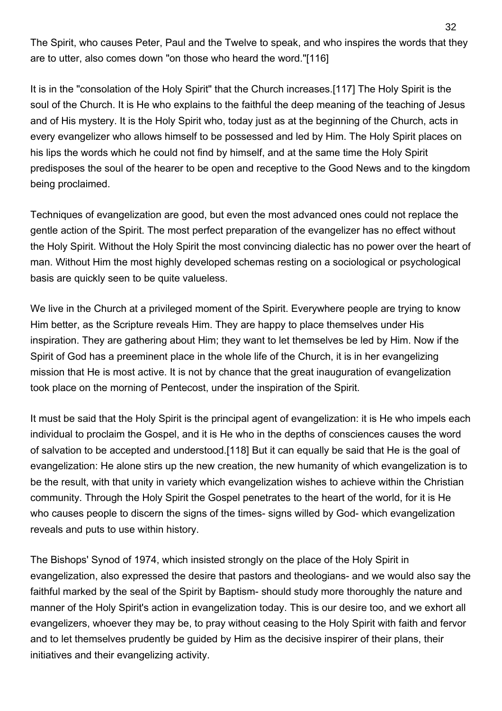The Spirit, who causes Peter, Paul and the Twelve to speak, and who inspires the words that they are to utter, also comes down "on those who heard the word."[116]

It is in the "consolation of the Holy Spirit" that the Church increases.[117] The Holy Spirit is the soul of the Church. It is He who explains to the faithful the deep meaning of the teaching of Jesus and of His mystery. It is the Holy Spirit who, today just as at the beginning of the Church, acts in every evangelizer who allows himself to be possessed and led by Him. The Holy Spirit places on his lips the words which he could not find by himself, and at the same time the Holy Spirit predisposes the soul of the hearer to be open and receptive to the Good News and to the kingdom being proclaimed.

Techniques of evangelization are good, but even the most advanced ones could not replace the gentle action of the Spirit. The most perfect preparation of the evangelizer has no effect without the Holy Spirit. Without the Holy Spirit the most convincing dialectic has no power over the heart of man. Without Him the most highly developed schemas resting on a sociological or psychological basis are quickly seen to be quite valueless.

We live in the Church at a privileged moment of the Spirit. Everywhere people are trying to know Him better, as the Scripture reveals Him. They are happy to place themselves under His inspiration. They are gathering about Him; they want to let themselves be led by Him. Now if the Spirit of God has a preeminent place in the whole life of the Church, it is in her evangelizing mission that He is most active. It is not by chance that the great inauguration of evangelization took place on the morning of Pentecost, under the inspiration of the Spirit.

It must be said that the Holy Spirit is the principal agent of evangelization: it is He who impels each individual to proclaim the Gospel, and it is He who in the depths of consciences causes the word of salvation to be accepted and understood.[118] But it can equally be said that He is the goal of evangelization: He alone stirs up the new creation, the new humanity of which evangelization is to be the result, with that unity in variety which evangelization wishes to achieve within the Christian community. Through the Holy Spirit the Gospel penetrates to the heart of the world, for it is He who causes people to discern the signs of the times- signs willed by God- which evangelization reveals and puts to use within history.

The Bishops' Synod of 1974, which insisted strongly on the place of the Holy Spirit in evangelization, also expressed the desire that pastors and theologians- and we would also say the faithful marked by the seal of the Spirit by Baptism- should study more thoroughly the nature and manner of the Holy Spirit's action in evangelization today. This is our desire too, and we exhort all evangelizers, whoever they may be, to pray without ceasing to the Holy Spirit with faith and fervor and to let themselves prudently be guided by Him as the decisive inspirer of their plans, their initiatives and their evangelizing activity.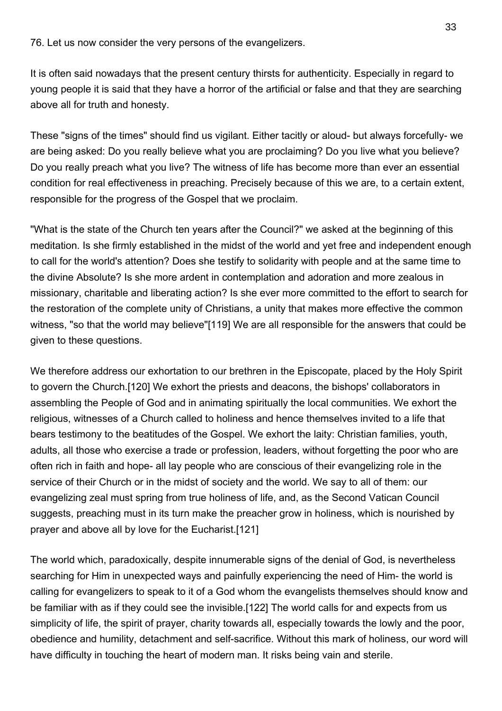76. Let us now consider the very persons of the evangelizers.

It is often said nowadays that the present century thirsts for authenticity. Especially in regard to young people it is said that they have a horror of the artificial or false and that they are searching above all for truth and honesty.

These "signs of the times" should find us vigilant. Either tacitly or aloud- but always forcefully- we are being asked: Do you really believe what you are proclaiming? Do you live what you believe? Do you really preach what you live? The witness of life has become more than ever an essential condition for real effectiveness in preaching. Precisely because of this we are, to a certain extent, responsible for the progress of the Gospel that we proclaim.

"What is the state of the Church ten years after the Council?" we asked at the beginning of this meditation. Is she firmly established in the midst of the world and yet free and independent enough to call for the world's attention? Does she testify to solidarity with people and at the same time to the divine Absolute? Is she more ardent in contemplation and adoration and more zealous in missionary, charitable and liberating action? Is she ever more committed to the effort to search for the restoration of the complete unity of Christians, a unity that makes more effective the common witness, "so that the world may believe"[119] We are all responsible for the answers that could be given to these questions.

We therefore address our exhortation to our brethren in the Episcopate, placed by the Holy Spirit to govern the Church.[120] We exhort the priests and deacons, the bishops' collaborators in assembling the People of God and in animating spiritually the local communities. We exhort the religious, witnesses of a Church called to holiness and hence themselves invited to a life that bears testimony to the beatitudes of the Gospel. We exhort the laity: Christian families, youth, adults, all those who exercise a trade or profession, leaders, without forgetting the poor who are often rich in faith and hope- all lay people who are conscious of their evangelizing role in the service of their Church or in the midst of society and the world. We say to all of them: our evangelizing zeal must spring from true holiness of life, and, as the Second Vatican Council suggests, preaching must in its turn make the preacher grow in holiness, which is nourished by prayer and above all by love for the Eucharist.[121]

The world which, paradoxically, despite innumerable signs of the denial of God, is nevertheless searching for Him in unexpected ways and painfully experiencing the need of Him- the world is calling for evangelizers to speak to it of a God whom the evangelists themselves should know and be familiar with as if they could see the invisible.[122] The world calls for and expects from us simplicity of life, the spirit of prayer, charity towards all, especially towards the lowly and the poor, obedience and humility, detachment and self-sacrifice. Without this mark of holiness, our word will have difficulty in touching the heart of modern man. It risks being vain and sterile.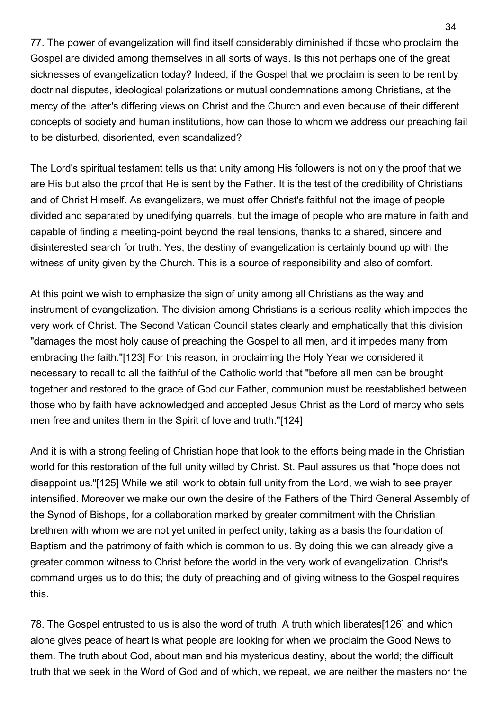77. The power of evangelization will find itself considerably diminished if those who proclaim the Gospel are divided among themselves in all sorts of ways. Is this not perhaps one of the great sicknesses of evangelization today? Indeed, if the Gospel that we proclaim is seen to be rent by doctrinal disputes, ideological polarizations or mutual condemnations among Christians, at the mercy of the latter's differing views on Christ and the Church and even because of their different concepts of society and human institutions, how can those to whom we address our preaching fail to be disturbed, disoriented, even scandalized?

The Lord's spiritual testament tells us that unity among His followers is not only the proof that we are His but also the proof that He is sent by the Father. It is the test of the credibility of Christians and of Christ Himself. As evangelizers, we must offer Christ's faithful not the image of people divided and separated by unedifying quarrels, but the image of people who are mature in faith and capable of finding a meeting-point beyond the real tensions, thanks to a shared, sincere and disinterested search for truth. Yes, the destiny of evangelization is certainly bound up with the witness of unity given by the Church. This is a source of responsibility and also of comfort.

At this point we wish to emphasize the sign of unity among all Christians as the way and instrument of evangelization. The division among Christians is a serious reality which impedes the very work of Christ. The Second Vatican Council states clearly and emphatically that this division "damages the most holy cause of preaching the Gospel to all men, and it impedes many from embracing the faith."[123] For this reason, in proclaiming the Holy Year we considered it necessary to recall to all the faithful of the Catholic world that "before all men can be brought together and restored to the grace of God our Father, communion must be reestablished between those who by faith have acknowledged and accepted Jesus Christ as the Lord of mercy who sets men free and unites them in the Spirit of love and truth."[124]

And it is with a strong feeling of Christian hope that look to the efforts being made in the Christian world for this restoration of the full unity willed by Christ. St. Paul assures us that "hope does not disappoint us."[125] While we still work to obtain full unity from the Lord, we wish to see prayer intensified. Moreover we make our own the desire of the Fathers of the Third General Assembly of the Synod of Bishops, for a collaboration marked by greater commitment with the Christian brethren with whom we are not yet united in perfect unity, taking as a basis the foundation of Baptism and the patrimony of faith which is common to us. By doing this we can already give a greater common witness to Christ before the world in the very work of evangelization. Christ's command urges us to do this; the duty of preaching and of giving witness to the Gospel requires this.

78. The Gospel entrusted to us is also the word of truth. A truth which liberates[126] and which alone gives peace of heart is what people are looking for when we proclaim the Good News to them. The truth about God, about man and his mysterious destiny, about the world; the difficult truth that we seek in the Word of God and of which, we repeat, we are neither the masters nor the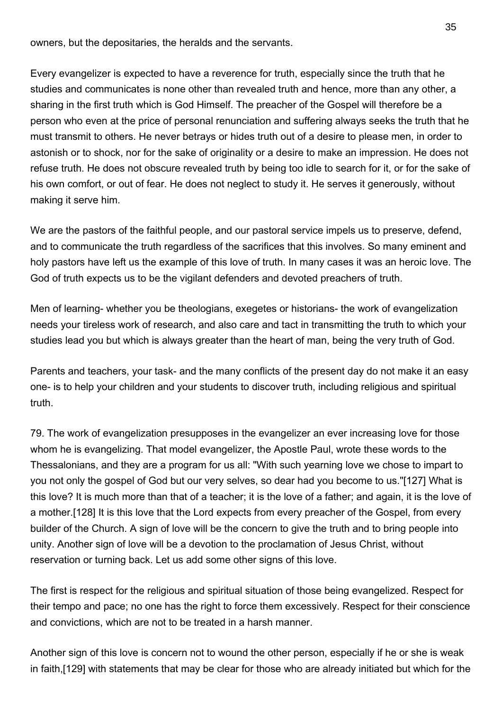owners, but the depositaries, the heralds and the servants.

Every evangelizer is expected to have a reverence for truth, especially since the truth that he studies and communicates is none other than revealed truth and hence, more than any other, a sharing in the first truth which is God Himself. The preacher of the Gospel will therefore be a person who even at the price of personal renunciation and suffering always seeks the truth that he must transmit to others. He never betrays or hides truth out of a desire to please men, in order to astonish or to shock, nor for the sake of originality or a desire to make an impression. He does not refuse truth. He does not obscure revealed truth by being too idle to search for it, or for the sake of his own comfort, or out of fear. He does not neglect to study it. He serves it generously, without making it serve him.

We are the pastors of the faithful people, and our pastoral service impels us to preserve, defend, and to communicate the truth regardless of the sacrifices that this involves. So many eminent and holy pastors have left us the example of this love of truth. In many cases it was an heroic love. The God of truth expects us to be the vigilant defenders and devoted preachers of truth.

Men of learning- whether you be theologians, exegetes or historians- the work of evangelization needs your tireless work of research, and also care and tact in transmitting the truth to which your studies lead you but which is always greater than the heart of man, being the very truth of God.

Parents and teachers, your task- and the many conflicts of the present day do not make it an easy one- is to help your children and your students to discover truth, including religious and spiritual truth.

79. The work of evangelization presupposes in the evangelizer an ever increasing love for those whom he is evangelizing. That model evangelizer, the Apostle Paul, wrote these words to the Thessalonians, and they are a program for us all: "With such yearning love we chose to impart to you not only the gospel of God but our very selves, so dear had you become to us."[127] What is this love? It is much more than that of a teacher; it is the love of a father; and again, it is the love of a mother.[128] It is this love that the Lord expects from every preacher of the Gospel, from every builder of the Church. A sign of love will be the concern to give the truth and to bring people into unity. Another sign of love will be a devotion to the proclamation of Jesus Christ, without reservation or turning back. Let us add some other signs of this love.

The first is respect for the religious and spiritual situation of those being evangelized. Respect for their tempo and pace; no one has the right to force them excessively. Respect for their conscience and convictions, which are not to be treated in a harsh manner.

Another sign of this love is concern not to wound the other person, especially if he or she is weak in faith,[129] with statements that may be clear for those who are already initiated but which for the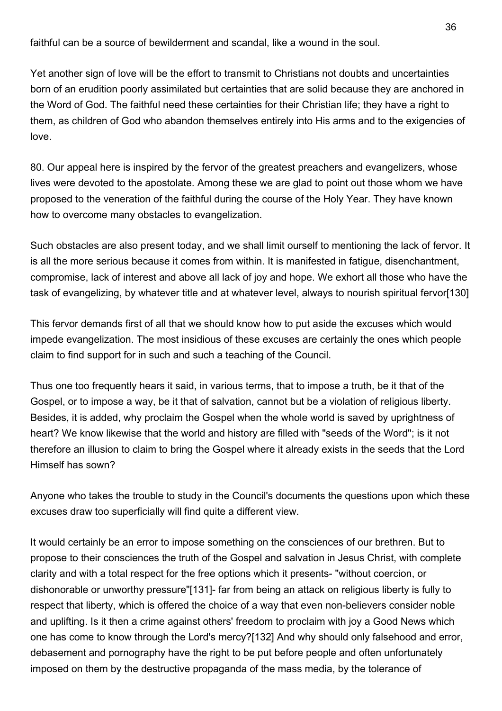faithful can be a source of bewilderment and scandal, like a wound in the soul.

Yet another sign of love will be the effort to transmit to Christians not doubts and uncertainties born of an erudition poorly assimilated but certainties that are solid because they are anchored in the Word of God. The faithful need these certainties for their Christian life; they have a right to them, as children of God who abandon themselves entirely into His arms and to the exigencies of love.

80. Our appeal here is inspired by the fervor of the greatest preachers and evangelizers, whose lives were devoted to the apostolate. Among these we are glad to point out those whom we have proposed to the veneration of the faithful during the course of the Holy Year. They have known how to overcome many obstacles to evangelization.

Such obstacles are also present today, and we shall limit ourself to mentioning the lack of fervor. It is all the more serious because it comes from within. It is manifested in fatigue, disenchantment, compromise, lack of interest and above all lack of joy and hope. We exhort all those who have the task of evangelizing, by whatever title and at whatever level, always to nourish spiritual fervor[130]

This fervor demands first of all that we should know how to put aside the excuses which would impede evangelization. The most insidious of these excuses are certainly the ones which people claim to find support for in such and such a teaching of the Council.

Thus one too frequently hears it said, in various terms, that to impose a truth, be it that of the Gospel, or to impose a way, be it that of salvation, cannot but be a violation of religious liberty. Besides, it is added, why proclaim the Gospel when the whole world is saved by uprightness of heart? We know likewise that the world and history are filled with "seeds of the Word"; is it not therefore an illusion to claim to bring the Gospel where it already exists in the seeds that the Lord Himself has sown?

Anyone who takes the trouble to study in the Council's documents the questions upon which these excuses draw too superficially will find quite a different view.

It would certainly be an error to impose something on the consciences of our brethren. But to propose to their consciences the truth of the Gospel and salvation in Jesus Christ, with complete clarity and with a total respect for the free options which it presents- "without coercion, or dishonorable or unworthy pressure"[131]- far from being an attack on religious liberty is fully to respect that liberty, which is offered the choice of a way that even non-believers consider noble and uplifting. Is it then a crime against others' freedom to proclaim with joy a Good News which one has come to know through the Lord's mercy?[132] And why should only falsehood and error, debasement and pornography have the right to be put before people and often unfortunately imposed on them by the destructive propaganda of the mass media, by the tolerance of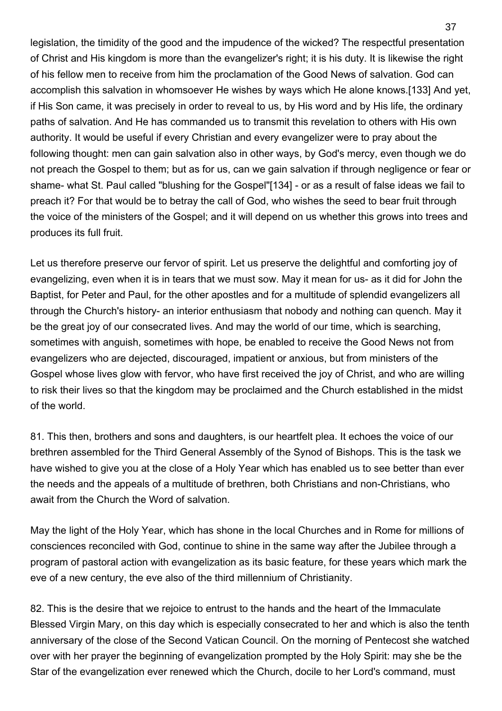legislation, the timidity of the good and the impudence of the wicked? The respectful presentation of Christ and His kingdom is more than the evangelizer's right; it is his duty. It is likewise the right of his fellow men to receive from him the proclamation of the Good News of salvation. God can accomplish this salvation in whomsoever He wishes by ways which He alone knows.[133] And yet, if His Son came, it was precisely in order to reveal to us, by His word and by His life, the ordinary paths of salvation. And He has commanded us to transmit this revelation to others with His own authority. It would be useful if every Christian and every evangelizer were to pray about the following thought: men can gain salvation also in other ways, by God's mercy, even though we do not preach the Gospel to them; but as for us, can we gain salvation if through negligence or fear or shame- what St. Paul called "blushing for the Gospel"[134] - or as a result of false ideas we fail to preach it? For that would be to betray the call of God, who wishes the seed to bear fruit through the voice of the ministers of the Gospel; and it will depend on us whether this grows into trees and produces its full fruit.

Let us therefore preserve our fervor of spirit. Let us preserve the delightful and comforting joy of evangelizing, even when it is in tears that we must sow. May it mean for us- as it did for John the Baptist, for Peter and Paul, for the other apostles and for a multitude of splendid evangelizers all through the Church's history- an interior enthusiasm that nobody and nothing can quench. May it be the great joy of our consecrated lives. And may the world of our time, which is searching, sometimes with anguish, sometimes with hope, be enabled to receive the Good News not from evangelizers who are dejected, discouraged, impatient or anxious, but from ministers of the Gospel whose lives glow with fervor, who have first received the joy of Christ, and who are willing to risk their lives so that the kingdom may be proclaimed and the Church established in the midst of the world.

81. This then, brothers and sons and daughters, is our heartfelt plea. It echoes the voice of our brethren assembled for the Third General Assembly of the Synod of Bishops. This is the task we have wished to give you at the close of a Holy Year which has enabled us to see better than ever the needs and the appeals of a multitude of brethren, both Christians and non-Christians, who await from the Church the Word of salvation.

May the light of the Holy Year, which has shone in the local Churches and in Rome for millions of consciences reconciled with God, continue to shine in the same way after the Jubilee through a program of pastoral action with evangelization as its basic feature, for these years which mark the eve of a new century, the eve also of the third millennium of Christianity.

82. This is the desire that we rejoice to entrust to the hands and the heart of the Immaculate Blessed Virgin Mary, on this day which is especially consecrated to her and which is also the tenth anniversary of the close of the Second Vatican Council. On the morning of Pentecost she watched over with her prayer the beginning of evangelization prompted by the Holy Spirit: may she be the Star of the evangelization ever renewed which the Church, docile to her Lord's command, must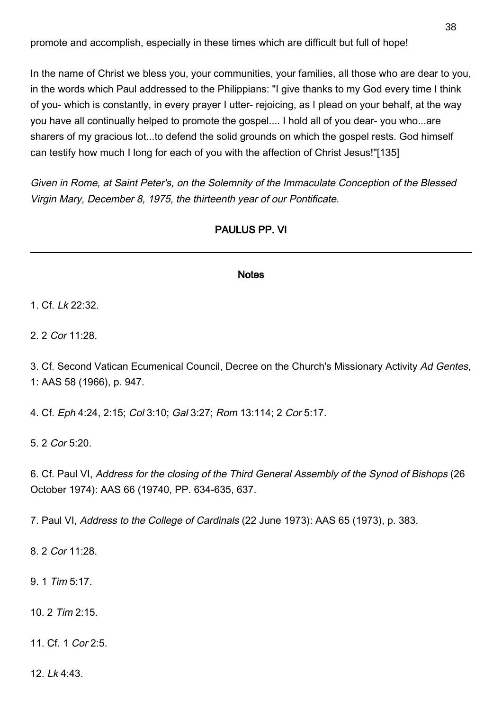promote and accomplish, especially in these times which are difficult but full of hope!

In the name of Christ we bless you, your communities, your families, all those who are dear to you, in the words which Paul addressed to the Philippians: "I give thanks to my God every time I think of you- which is constantly, in every prayer I utter- rejoicing, as I plead on your behalf, at the way you have all continually helped to promote the gospel.... I hold all of you dear- you who...are sharers of my gracious lot...to defend the solid grounds on which the gospel rests. God himself can testify how much I long for each of you with the affection of Christ Jesus!"[135]

Given in Rome, at Saint Peter's, on the Solemnity of the Immaculate Conception of the Blessed Virgin Mary, December 8, 1975, the thirteenth year of our Pontificate.

## PAULUS PP. VI

## **Notes**

1. Cf. Lk 22:32.

2. 2 Cor 11:28.

3. Cf. Second Vatican Ecumenical Council, Decree on the Church's Missionary Activity Ad Gentes, 1: AAS 58 (1966), p. 947.

4. Cf. Eph 4:24, 2:15; Col 3:10; Gal 3:27; Rom 13:114; 2 Cor 5:17.

5. 2 Cor 5:20.

6. Cf. Paul VI, Address for the closing of the Third General Assembly of the Synod of Bishops (26 October 1974): AAS 66 (19740, PP. 634-635, 637.

7. Paul VI, Address to the College of Cardinals (22 June 1973): AAS 65 (1973), p. 383.

8. 2 Cor 11:28.

9. 1 Tim 5:17.

10. 2 Tim 2:15.

11. Cf. 1 Cor 2:5.

12. Lk 4:43.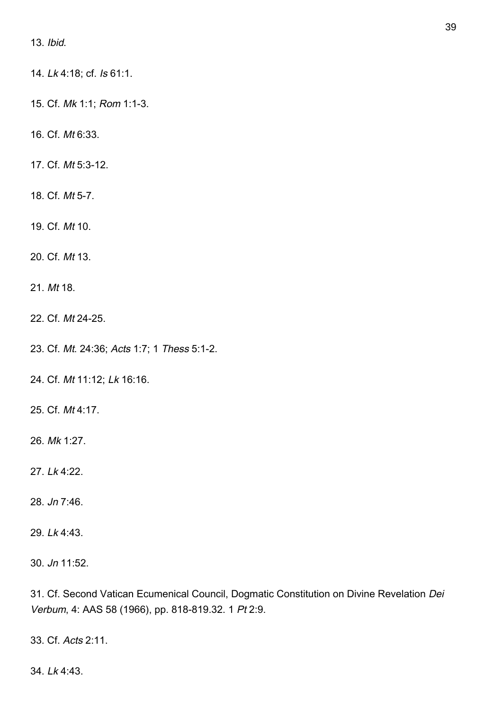13. Ibid.

14. Lk 4:18; cf. Is 61:1.

15. Cf. Mk 1:1; Rom 1:1-3.

16. Cf. Mt 6:33.

17. Cf. Mt 5:3-12.

18. Cf. Mt 5-7.

19. Cf. Mt 10.

20. Cf. Mt 13.

21. Mt 18.

22. Cf. Mt 24-25.

23. Cf. Mt. 24:36; Acts 1:7; 1 Thess 5:1-2.

24. Cf. Mt 11:12; Lk 16:16.

25. Cf. Mt 4:17.

26. Mk 1:27.

27. Lk 4:22.

28. Jn 7:46.

29. Lk 4:43.

30. Jn 11:52.

31. Cf. Second Vatican Ecumenical Council, Dogmatic Constitution on Divine Revelation Dei Verbum, 4: AAS 58 (1966), pp. 818-819.32. 1 Pt 2:9.

33. Cf. Acts 2:11.

34. Lk 4:43.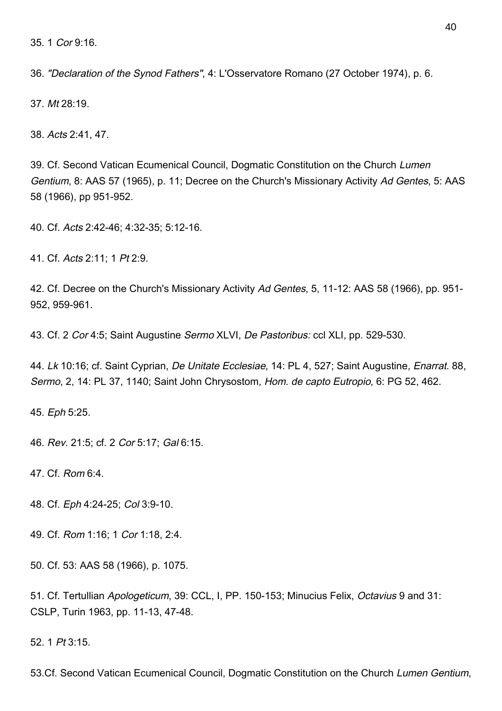35. 1 Cor 9:16.

36. "Declaration of the Synod Fathers", 4: L'Osservatore Romano (27 October 1974), p. 6.

37. Mt 28:19.

38. Acts 2:41, 47.

39. Cf. Second Vatican Ecumenical Council, Dogmatic Constitution on the Church Lumen Gentium, 8: AAS 57 (1965), p. 11; Decree on the Church's Missionary Activity Ad Gentes, 5: AAS 58 (1966), pp 951-952.

40. Cf. Acts 2:42-46; 4:32-35; 5:12-16.

41. Cf. Acts 2:11; 1 Pt 2:9.

42. Cf. Decree on the Church's Missionary Activity Ad Gentes, 5, 11-12: AAS 58 (1966), pp. 951- 952, 959-961.

43. Cf. 2 Cor 4:5; Saint Augustine Sermo XLVI, De Pastoribus: ccl XLI, pp. 529-530.

44. Lk 10:16; cf. Saint Cyprian, De Unitate Ecclesiae, 14: PL 4, 527; Saint Augustine, Enarrat. 88, Sermo, 2, 14: PL 37, 1140; Saint John Chrysostom, Hom. de capto Eutropio, 6: PG 52, 462.

45. Eph 5:25.

46. Rev. 21:5; cf. 2 Cor 5:17; Gal 6:15.

47. Cf. Rom 6:4.

48. Cf. Eph 4:24-25; Col 3:9-10.

49. Cf. Rom 1:16; 1 Cor 1:18, 2:4.

50. Cf. 53: AAS 58 (1966), p. 1075.

51. Cf. Tertullian Apologeticum, 39: CCL, I, PP. 150-153; Minucius Felix, Octavius 9 and 31: CSLP, Turin 1963, pp. 11-13, 47-48.

52. 1 Pt 3:15.

53.Cf. Second Vatican Ecumenical Council, Dogmatic Constitution on the Church Lumen Gentium,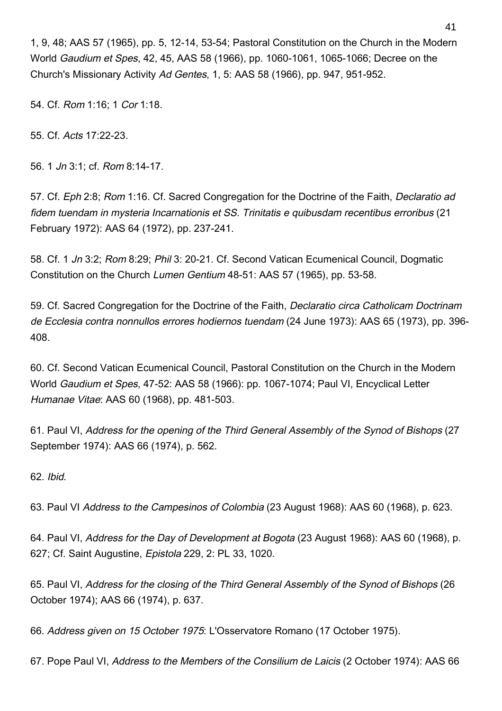1, 9, 48; AAS 57 (1965), pp. 5, 12-14, 53-54; Pastoral Constitution on the Church in the Modern World Gaudium et Spes, 42, 45, AAS 58 (1966), pp. 1060-1061, 1065-1066; Decree on the Church's Missionary Activity Ad Gentes, 1, 5: AAS 58 (1966), pp. 947, 951-952.

54. Cf. Rom 1:16; 1 Cor 1:18.

55. Cf. Acts 17:22-23.

56. 1 Jn 3:1; cf. Rom 8:14-17.

57. Cf. Eph 2:8; Rom 1:16. Cf. Sacred Congregation for the Doctrine of the Faith, Declaratio ad fidem tuendam in mysteria Incarnationis et SS. Trinitatis e quibusdam recentibus erroribus (21 February 1972): AAS 64 (1972), pp. 237-241.

58. Cf. 1 Jn 3:2; Rom 8:29; Phil 3: 20-21. Cf. Second Vatican Ecumenical Council, Dogmatic Constitution on the Church Lumen Gentium 48-51: AAS 57 (1965), pp. 53-58.

59. Cf. Sacred Congregation for the Doctrine of the Faith, Declaratio circa Catholicam Doctrinam de Ecclesia contra nonnullos errores hodiernos tuendam (24 June 1973): AAS 65 (1973), pp. 396- 408.

60. Cf. Second Vatican Ecumenical Council, Pastoral Constitution on the Church in the Modern World Gaudium et Spes, 47-52: AAS 58 (1966): pp. 1067-1074; Paul VI, Encyclical Letter Humanae Vitae: AAS 60 (1968), pp. 481-503.

61. Paul VI, Address for the opening of the Third General Assembly of the Synod of Bishops (27 September 1974): AAS 66 (1974), p. 562.

62. Ibid.

63. Paul VI Address to the Campesinos of Colombia (23 August 1968): AAS 60 (1968), p. 623.

64. Paul VI, Address for the Day of Development at Bogota (23 August 1968): AAS 60 (1968), p. 627; Cf. Saint Augustine, Epistola 229, 2: PL 33, 1020.

65. Paul VI, Address for the closing of the Third General Assembly of the Synod of Bishops (26 October 1974); AAS 66 (1974), p. 637.

66. Address given on 15 October 1975: L'Osservatore Romano (17 October 1975).

67. Pope Paul VI, Address to the Members of the Consilium de Laicis (2 October 1974): AAS 66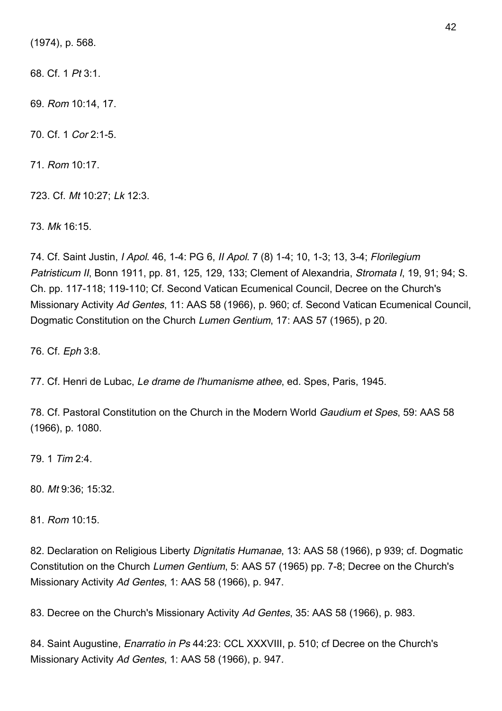(1974), p. 568.

68. Cf. 1 Pt 3:1.

69. Rom 10:14, 17.

70. Cf. 1 Cor 2:1-5.

71. Rom 10:17.

723. Cf. Mt 10:27; Lk 12:3.

73. Mk 16:15.

74. Cf. Saint Justin, I Apol. 46, 1-4: PG 6, II Apol. 7 (8) 1-4; 10, 1-3; 13, 3-4; Florilegium Patristicum II, Bonn 1911, pp. 81, 125, 129, 133; Clement of Alexandria, Stromata I, 19, 91; 94; S. Ch. pp. 117-118; 119-110; Cf. Second Vatican Ecumenical Council, Decree on the Church's Missionary Activity Ad Gentes, 11: AAS 58 (1966), p. 960; cf. Second Vatican Ecumenical Council, Dogmatic Constitution on the Church Lumen Gentium, 17: AAS 57 (1965), p 20.

76. Cf. Eph 3:8.

77. Cf. Henri de Lubac, Le drame de l'humanisme athee, ed. Spes, Paris, 1945.

78. Cf. Pastoral Constitution on the Church in the Modern World Gaudium et Spes, 59: AAS 58 (1966), p. 1080.

79. 1 Tim 2:4.

80. Mt 9:36; 15:32.

81. Rom 10:15.

82. Declaration on Religious Liberty Dignitatis Humanae, 13: AAS 58 (1966), p 939; cf. Dogmatic Constitution on the Church Lumen Gentium, 5: AAS 57 (1965) pp. 7-8; Decree on the Church's Missionary Activity Ad Gentes, 1: AAS 58 (1966), p. 947.

83. Decree on the Church's Missionary Activity Ad Gentes, 35: AAS 58 (1966), p. 983.

84. Saint Augustine, *Enarratio in Ps* 44:23: CCL XXXVIII, p. 510; cf Decree on the Church's Missionary Activity Ad Gentes, 1: AAS 58 (1966), p. 947.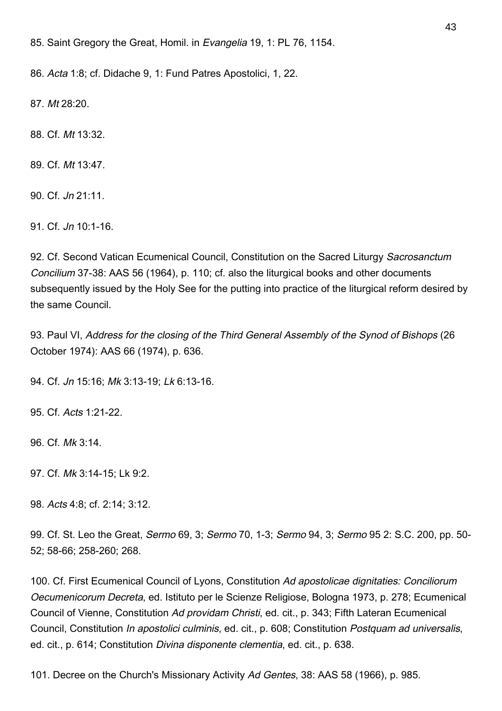85. Saint Gregory the Great, Homil. in Evangelia 19, 1: PL 76, 1154.

86. Acta 1:8; cf. Didache 9, 1: Fund Patres Apostolici, 1, 22.

87. Mt 28:20.

88. Cf. Mt 13:32.

89. Cf. Mt 13:47.

90. Cf. Jn 21:11.

91. Cf. Jn 10:1-16.

92. Cf. Second Vatican Ecumenical Council, Constitution on the Sacred Liturgy Sacrosanctum Concilium 37-38: AAS 56 (1964), p. 110; cf. also the liturgical books and other documents subsequently issued by the Holy See for the putting into practice of the liturgical reform desired by the same Council.

93. Paul VI, Address for the closing of the Third General Assembly of the Synod of Bishops (26 October 1974): AAS 66 (1974), p. 636.

94. Cf. Jn 15:16; Mk 3:13-19; Lk 6:13-16.

95. Cf. Acts 1:21-22.

96. Cf. Mk 3:14.

97. Cf. Mk 3:14-15; Lk 9:2.

98. Acts 4:8; cf. 2:14; 3:12.

99. Cf. St. Leo the Great, Sermo 69, 3; Sermo 70, 1-3; Sermo 94, 3; Sermo 95 2: S.C. 200, pp. 50- 52; 58-66; 258-260; 268.

100. Cf. First Ecumenical Council of Lyons, Constitution Ad apostolicae dignitaties: Conciliorum Oecumenicorum Decreta, ed. Istituto per le Scienze Religiose, Bologna 1973, p. 278; Ecumenical Council of Vienne, Constitution Ad providam Christi, ed. cit., p. 343; Fifth Lateran Ecumenical Council, Constitution In apostolici culminis, ed. cit., p. 608; Constitution Postquam ad universalis, ed. cit., p. 614; Constitution Divina disponente clementia, ed. cit., p. 638.

101. Decree on the Church's Missionary Activity Ad Gentes, 38: AAS 58 (1966), p. 985.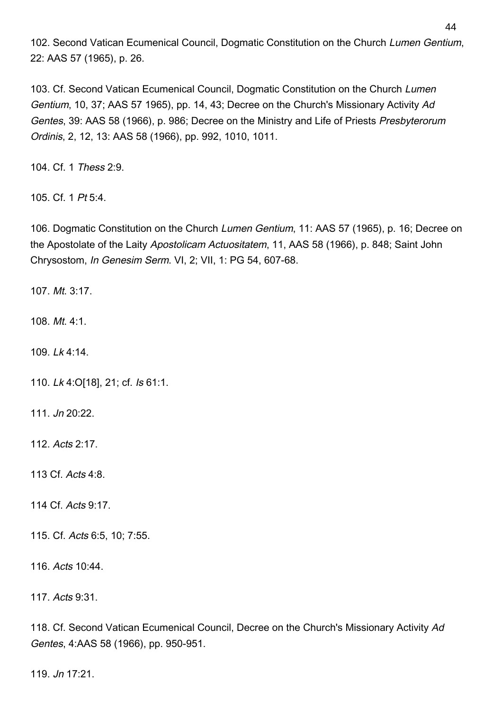102. Second Vatican Ecumenical Council, Dogmatic Constitution on the Church Lumen Gentium, 22: AAS 57 (1965), p. 26.

103. Cf. Second Vatican Ecumenical Council, Dogmatic Constitution on the Church Lumen Gentium, 10, 37; AAS 57 1965), pp. 14, 43; Decree on the Church's Missionary Activity Ad Gentes, 39: AAS 58 (1966), p. 986; Decree on the Ministry and Life of Priests Presbyterorum Ordinis, 2, 12, 13: AAS 58 (1966), pp. 992, 1010, 1011.

104. Cf. 1 Thess 2:9.

105. Cf. 1 Pt 5:4.

106. Dogmatic Constitution on the Church Lumen Gentium, 11: AAS 57 (1965), p. 16; Decree on the Apostolate of the Laity Apostolicam Actuositatem, 11, AAS 58 (1966), p. 848; Saint John Chrysostom, In Genesim Serm. VI, 2; VII, 1: PG 54, 607-68.

107. Mt. 3:17.

108. Mt. 4:1.

109. Lk 4:14.

110. Lk 4:O[18], 21; cf. Is 61:1.

111  $\ln 20.22$ 

112. Acts 2:17.

113 Cf. Acts 4:8.

114 Cf. Acts 9:17.

115. Cf. Acts 6:5, 10; 7:55.

116. Acts 10:44.

117. Acts 9:31.

118. Cf. Second Vatican Ecumenical Council, Decree on the Church's Missionary Activity Ad Gentes, 4:AAS 58 (1966), pp. 950-951.

119. Jn 17:21.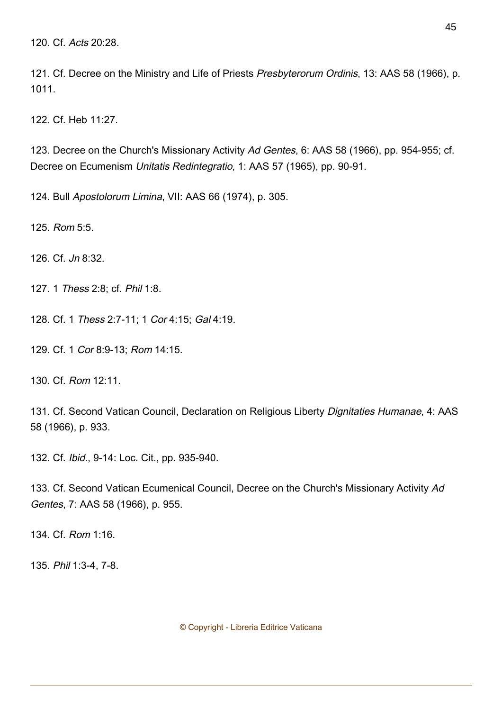121. Cf. Decree on the Ministry and Life of Priests Presbyterorum Ordinis, 13: AAS 58 (1966), p. 1011.

122. Cf. Heb 11:27.

123. Decree on the Church's Missionary Activity Ad Gentes, 6: AAS 58 (1966), pp. 954-955; cf. Decree on Ecumenism Unitatis Redintegratio, 1: AAS 57 (1965), pp. 90-91.

124. Bull Apostolorum Limina, VII: AAS 66 (1974), p. 305.

125. Rom 5:5.

126. Cf. Jn 8:32.

127. 1 Thess 2:8; cf. Phil 1:8.

128. Cf. 1 Thess 2:7-11; 1 Cor 4:15; Gal 4:19.

129. Cf. 1 Cor 8:9-13; Rom 14:15.

130. Cf. Rom 12:11.

131. Cf. Second Vatican Council, Declaration on Religious Liberty Dignitaties Humanae, 4: AAS 58 (1966), p. 933.

132. Cf. Ibid., 9-14: Loc. Cit., pp. 935-940.

133. Cf. Second Vatican Ecumenical Council, Decree on the Church's Missionary Activity Ad Gentes, 7: AAS 58 (1966), p. 955.

134. Cf. Rom 1:16.

135. Phil 1:3-4, 7-8.

© Copyright - Libreria Editrice Vaticana